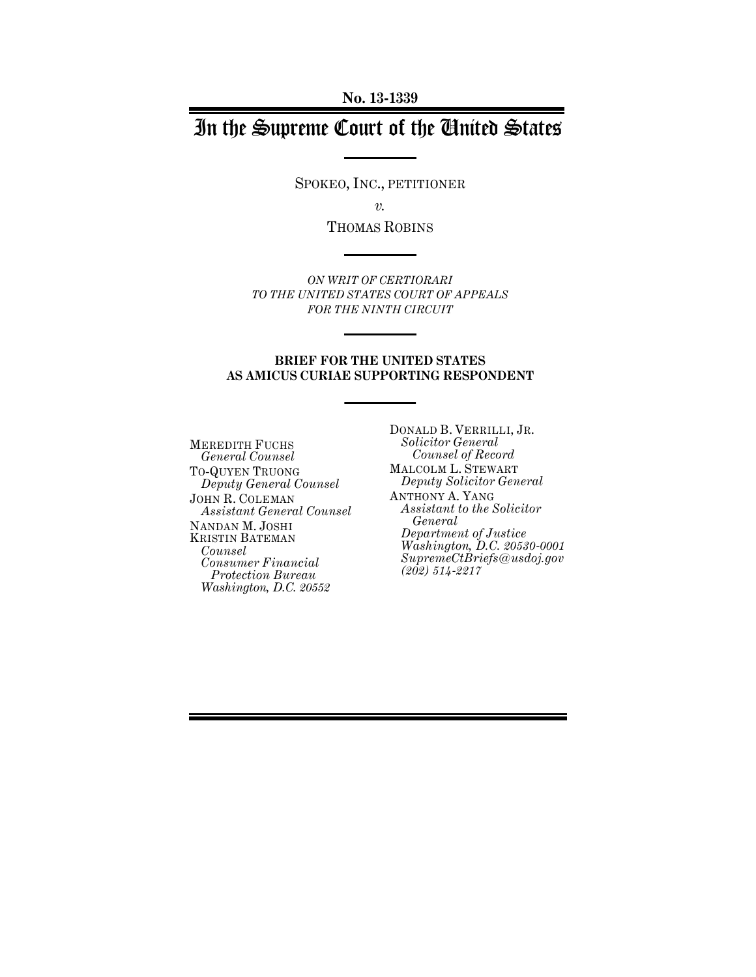**No. 13-1339**

# In the Supreme Court of the United States

SPOKEO, INC., PETITIONER

*v.*

THOMAS ROBINS

*ON WRIT OF CERTIORARI TO THE UNITED STATES COURT OF APPEALS FOR THE NINTH CIRCUIT*

#### **BRIEF FOR THE UNITED STATES AS AMICUS CURIAE SUPPORTING RESPONDENT**

MEREDITH FUCHS *General Counsel* TO-QUYEN TRUONG *Deputy General Counsel* JOHN R. COLEMAN *Assistant General Counsel* NANDAN M. JOSHI KRISTIN BATEMAN *Counsel Consumer Financial Protection Bureau Washington, D.C. 20552*

DONALD B. VERRILLI, JR. *Solicitor General Counsel of Record* MALCOLM L. STEWART *Deputy Solicitor General* ANTHONY A. YANG *Assistant to the Solicitor General Department of Justice Washington, D.C. 20530-0001 SupremeCtBriefs@usdoj.gov (202) 514-2217*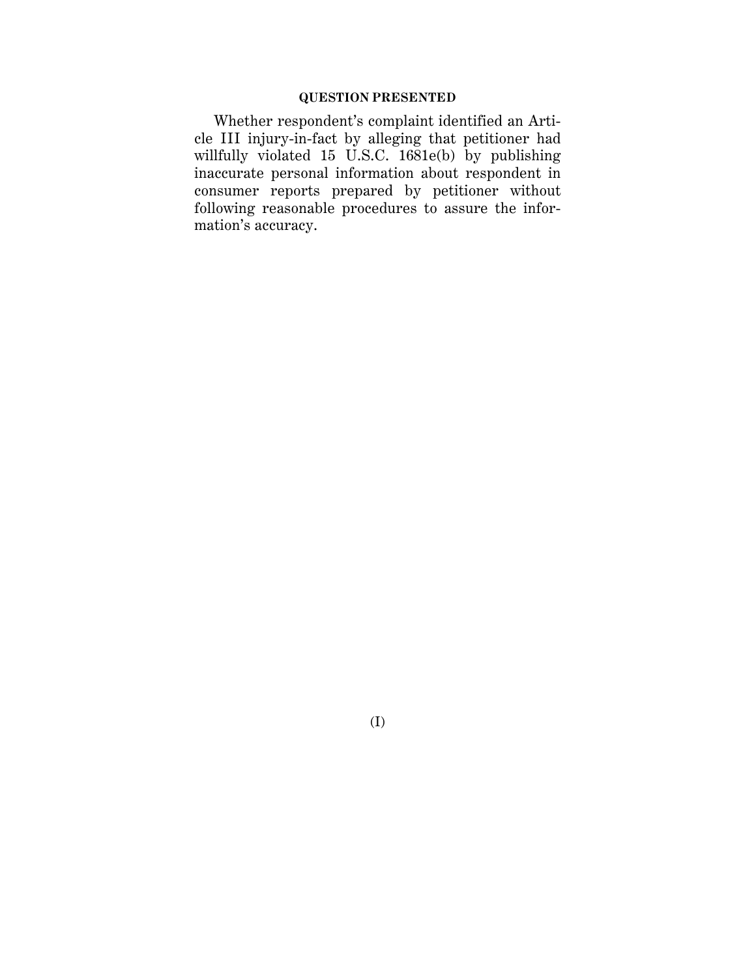### **QUESTION PRESENTED**

Whether respondent's complaint identified an Article III injury-in-fact by alleging that petitioner had willfully violated 15 U.S.C. 1681e(b) by publishing inaccurate personal information about respondent in consumer reports prepared by petitioner without following reasonable procedures to assure the information's accuracy.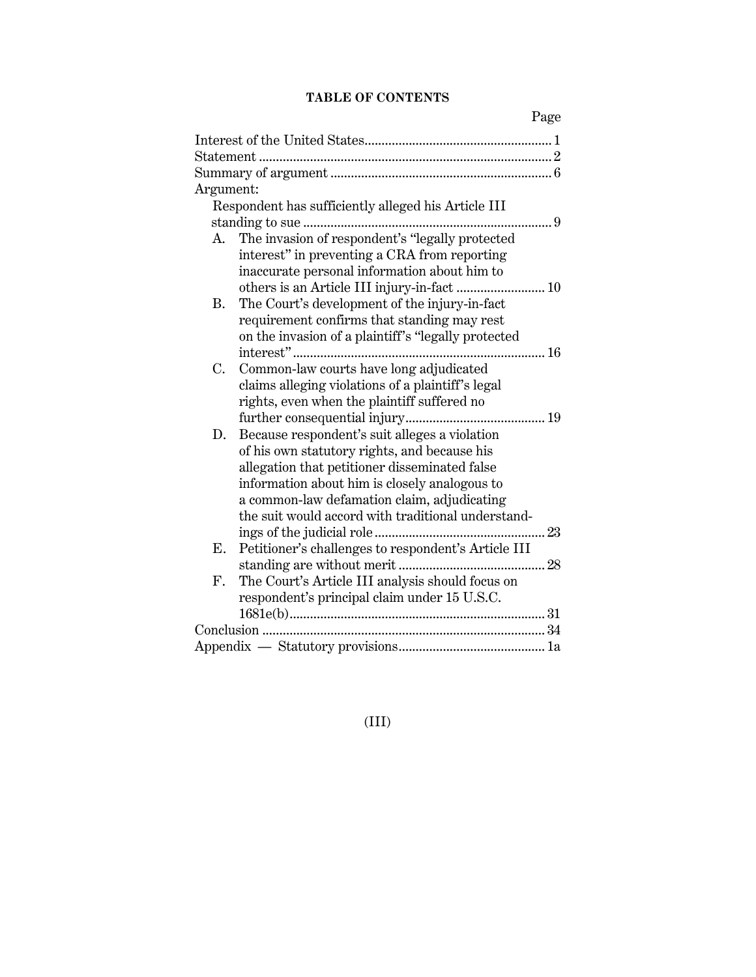## **TABLE OF CONTENTS**

| Page                                                            |  |  |  |
|-----------------------------------------------------------------|--|--|--|
|                                                                 |  |  |  |
|                                                                 |  |  |  |
|                                                                 |  |  |  |
| Argument:                                                       |  |  |  |
| Respondent has sufficiently alleged his Article III             |  |  |  |
| . 9                                                             |  |  |  |
| The invasion of respondent's "legally protected<br>A.           |  |  |  |
| interest" in preventing a CRA from reporting                    |  |  |  |
| inaccurate personal information about him to                    |  |  |  |
|                                                                 |  |  |  |
| The Court's development of the injury-in-fact<br><b>B.</b>      |  |  |  |
| requirement confirms that standing may rest                     |  |  |  |
| on the invasion of a plaintiff's "legally protected             |  |  |  |
|                                                                 |  |  |  |
| Common-law courts have long adjudicated<br>C.                   |  |  |  |
| claims alleging violations of a plaintiff's legal               |  |  |  |
| rights, even when the plaintiff suffered no                     |  |  |  |
|                                                                 |  |  |  |
| Because respondent's suit alleges a violation<br>D.             |  |  |  |
| of his own statutory rights, and because his                    |  |  |  |
| allegation that petitioner disseminated false                   |  |  |  |
| information about him is closely analogous to                   |  |  |  |
| a common-law defamation claim, adjudicating                     |  |  |  |
| the suit would accord with traditional understand-              |  |  |  |
| 23                                                              |  |  |  |
| Petitioner's challenges to respondent's Article III<br>Е.       |  |  |  |
|                                                                 |  |  |  |
| The Court's Article III analysis should focus on<br>$F_{\cdot}$ |  |  |  |
| respondent's principal claim under 15 U.S.C.                    |  |  |  |
|                                                                 |  |  |  |
|                                                                 |  |  |  |
|                                                                 |  |  |  |

(III)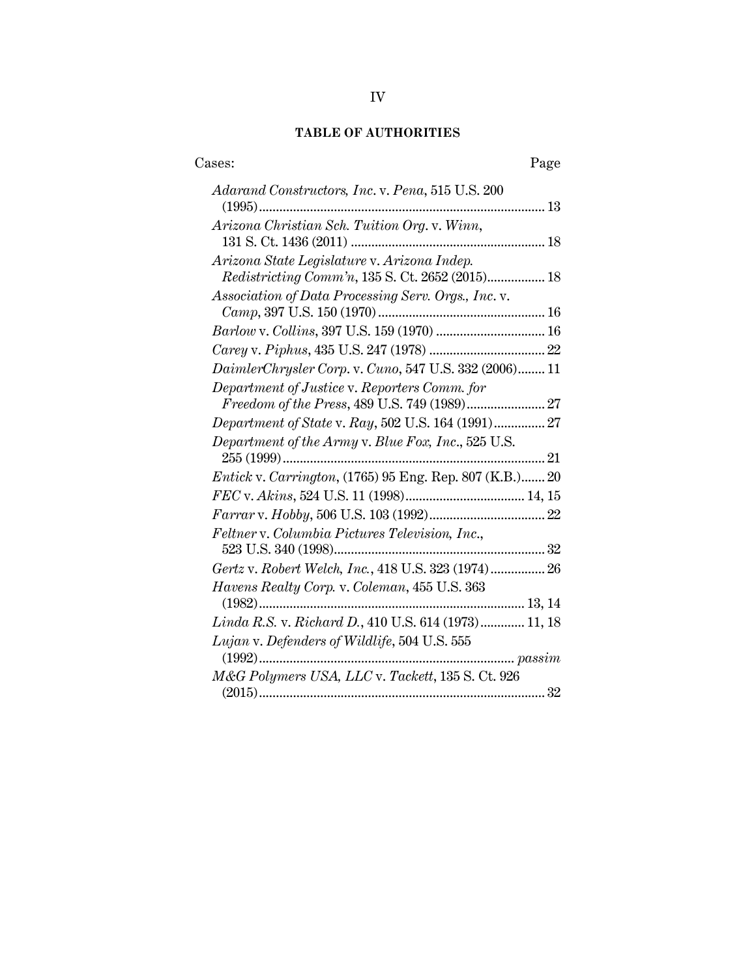## **TABLE OF AUTHORITIES**

| Cases:<br>Page                                                                                         |
|--------------------------------------------------------------------------------------------------------|
| Adarand Constructors, Inc. v. Pena, 515 U.S. 200                                                       |
| Arizona Christian Sch. Tuition Org. v. Winn,                                                           |
| Arizona State Legislature v. Arizona Indep.<br><i>Redistricting Comm'n</i> , 135 S. Ct. 2652 (2015) 18 |
| Association of Data Processing Serv. Orgs., Inc. v.                                                    |
|                                                                                                        |
|                                                                                                        |
| DaimlerChrysler Corp. v. Cuno, 547 U.S. 332 (2006) 11                                                  |
| Department of Justice v. Reporters Comm. for                                                           |
| <i>Department of State v. Ray, 502 U.S. 164 (1991) 27</i>                                              |
| Department of the Army v. Blue Fox, Inc., 525 U.S.                                                     |
| Entick v. Carrington, (1765) 95 Eng. Rep. 807 (K.B.) 20                                                |
|                                                                                                        |
|                                                                                                        |
| Feltner v. Columbia Pictures Television, Inc.,                                                         |
|                                                                                                        |
| Gertz v. Robert Welch, Inc., 418 U.S. 323 (1974) 26                                                    |
| Havens Realty Corp. v. Coleman, 455 U.S. 363                                                           |
| Linda R.S. v. Richard D., 410 U.S. 614 (1973) 11, 18                                                   |
| Lujan v. Defenders of Wildlife, 504 U.S. 555<br>$(1992)$                                               |
| M&G Polymers USA, LLC v. Tackett, 135 S. Ct. 926                                                       |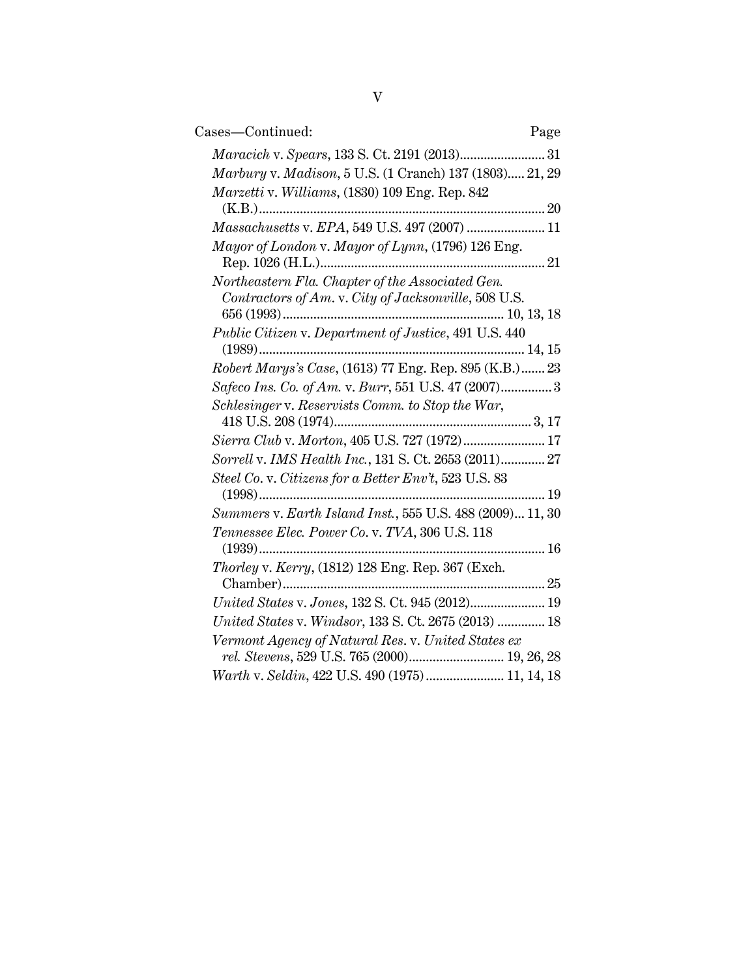| Cases-Continued:                                                                                         | Page |
|----------------------------------------------------------------------------------------------------------|------|
| Maracich v. Spears, 133 S. Ct. 2191 (2013) 31                                                            |      |
| Marbury v. Madison, 5 U.S. (1 Cranch) 137 (1803) 21, 29                                                  |      |
| Marzetti v. Williams, (1830) 109 Eng. Rep. 842                                                           |      |
|                                                                                                          |      |
| Massachusetts v. EPA, 549 U.S. 497 (2007)  11                                                            |      |
| Mayor of London v. Mayor of Lynn, (1796) 126 Eng.                                                        |      |
| Northeastern Fla. Chapter of the Associated Gen.<br>Contractors of Am. v. City of Jacksonville, 508 U.S. |      |
|                                                                                                          |      |
| Public Citizen v. Department of Justice, 491 U.S. 440                                                    |      |
|                                                                                                          |      |
| Robert Marys's Case, (1613) 77 Eng. Rep. 895 (K.B.) 23                                                   |      |
| Safeco Ins. Co. of Am. v. Burr, 551 U.S. 47 (2007) 3                                                     |      |
| Schlesinger v. Reservists Comm. to Stop the War,                                                         |      |
| Sierra Club v. Morton, 405 U.S. 727 (1972) 17                                                            |      |
| Sorrell v. IMS Health Inc., 131 S. Ct. 2653 (2011) 27                                                    |      |
| Steel Co. v. Citizens for a Better Env't, 523 U.S. 83                                                    |      |
|                                                                                                          |      |
| Summers v. Earth Island Inst., 555 U.S. 488 (2009) 11, 30                                                |      |
| Tennessee Elec. Power Co. v. TVA, 306 U.S. 118                                                           |      |
| Thorley v. Kerry, (1812) 128 Eng. Rep. 367 (Exch.                                                        |      |
|                                                                                                          |      |
| United States v. Jones, 132 S. Ct. 945 (2012) 19                                                         |      |
| United States v. Windsor, 133 S. Ct. 2675 (2013)  18                                                     |      |
| Vermont Agency of Natural Res. v. United States ex                                                       |      |
| rel. Stevens, 529 U.S. 765 (2000) 19, 26, 28                                                             |      |
| Warth v. Seldin, 422 U.S. 490 (1975) 11, 14, 18                                                          |      |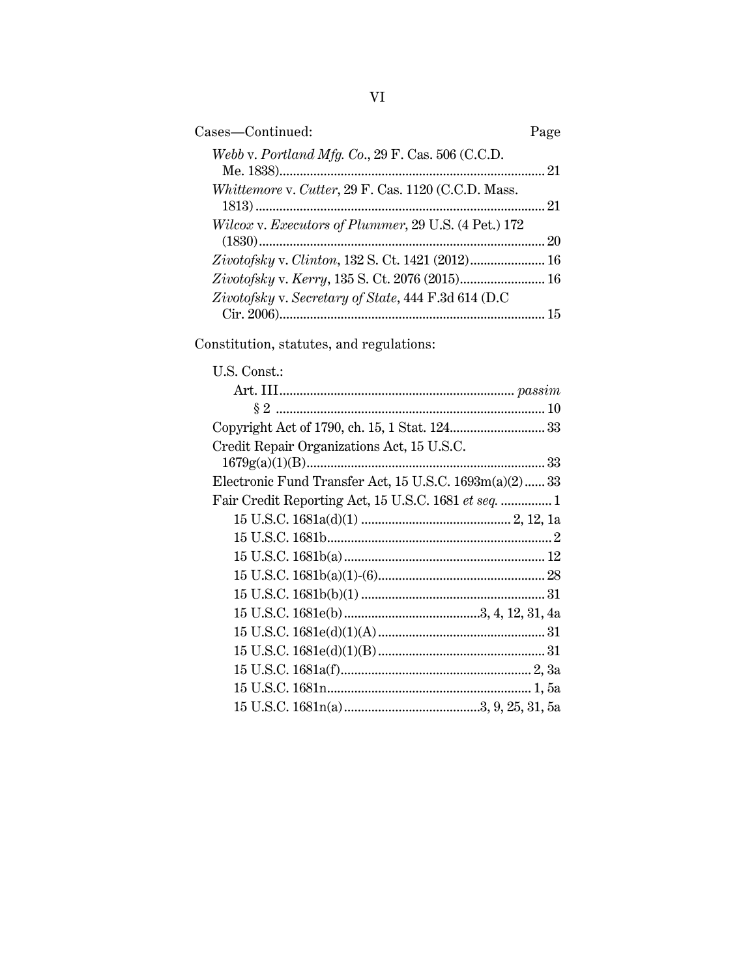| Cases-Continued:                                     |    |
|------------------------------------------------------|----|
| Webb v. Portland Mfg. Co., 29 F. Cas. 506 (C.C.D.    |    |
| Whittemore v. Cutter, 29 F. Cas. 1120 (C.C.D. Mass.  | 21 |
| Wilcox v. Executors of Plummer, 29 U.S. (4 Pet.) 172 | 20 |
|                                                      |    |
| Zivotofsky v. Kerry, 135 S. Ct. 2076 (2015) 16       |    |
| Zivotofsky v. Secretary of State, 444 F.3d 614 (D.C) |    |

Constitution, statutes, and regulations:

## U.S. Const.:

| Credit Repair Organizations Act, 15 U.S.C.             |  |
|--------------------------------------------------------|--|
|                                                        |  |
| Electronic Fund Transfer Act, 15 U.S.C. 1693m(a)(2) 33 |  |
| Fair Credit Reporting Act, 15 U.S.C. 1681 et seq.  1   |  |
|                                                        |  |
|                                                        |  |
|                                                        |  |
|                                                        |  |
|                                                        |  |
|                                                        |  |
|                                                        |  |
|                                                        |  |
|                                                        |  |
|                                                        |  |
|                                                        |  |
|                                                        |  |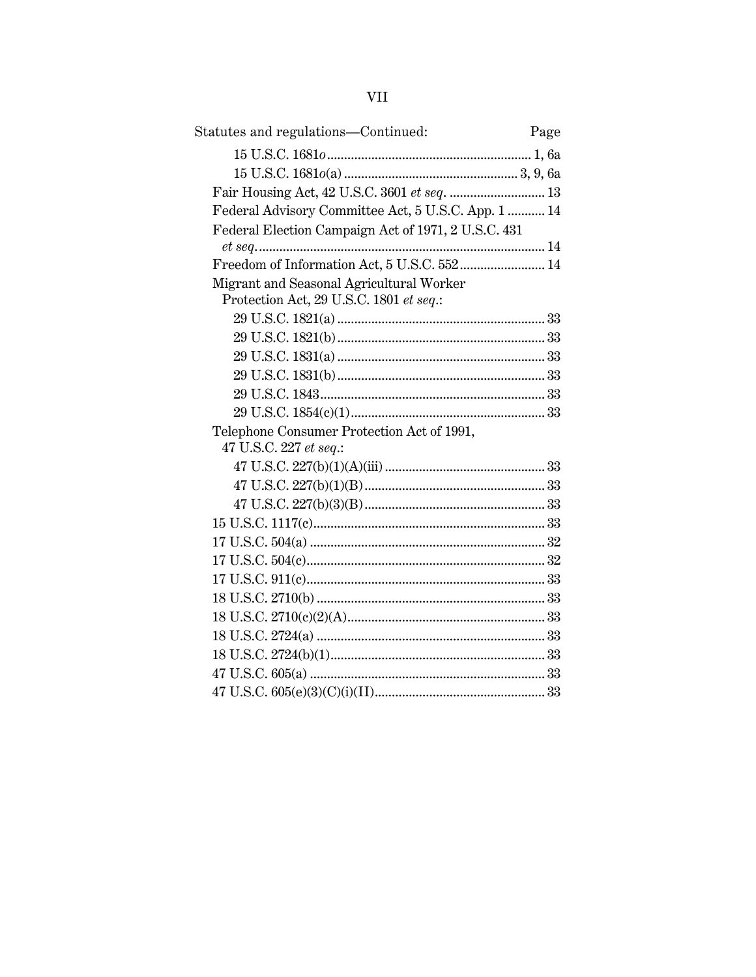| Statutes and regulations-Continued:<br>Page         |
|-----------------------------------------------------|
|                                                     |
|                                                     |
| Fair Housing Act, 42 U.S.C. 3601 et seq.  13        |
| Federal Advisory Committee Act, 5 U.S.C. App. 1  14 |
| Federal Election Campaign Act of 1971, 2 U.S.C. 431 |
|                                                     |
| Freedom of Information Act, 5 U.S.C. 552 14         |
| Migrant and Seasonal Agricultural Worker            |
| Protection Act, 29 U.S.C. 1801 et seq.:             |
|                                                     |
|                                                     |
|                                                     |
|                                                     |
|                                                     |
|                                                     |
| Telephone Consumer Protection Act of 1991,          |
| 47 U.S.C. 227 et seq.:                              |
|                                                     |
|                                                     |
|                                                     |
|                                                     |
|                                                     |
|                                                     |
|                                                     |
|                                                     |
|                                                     |
|                                                     |
|                                                     |
|                                                     |
|                                                     |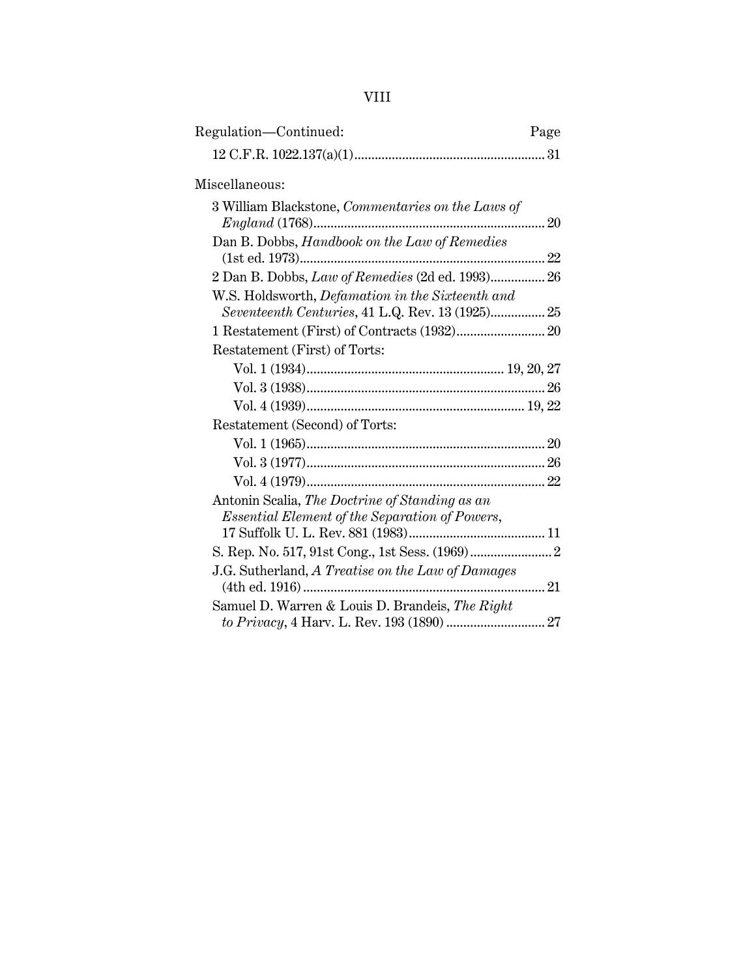| Regulation-Continued:                                                                                       | Page |
|-------------------------------------------------------------------------------------------------------------|------|
|                                                                                                             |      |
| Miscellaneous:                                                                                              |      |
| 3 William Blackstone, Commentaries on the Laws of                                                           |      |
| Dan B. Dobbs, Handbook on the Law of Remedies                                                               |      |
| 2 Dan B. Dobbs, Law of Remedies (2d ed. 1993) 26                                                            |      |
| W.S. Holdsworth, <i>Defamation in the Sixteenth and</i><br>Seventeenth Centuries, 41 L.Q. Rev. 13 (1925) 25 |      |
|                                                                                                             |      |
| Restatement (First) of Torts:                                                                               |      |
|                                                                                                             |      |
|                                                                                                             |      |
|                                                                                                             |      |
| Restatement (Second) of Torts:                                                                              |      |
|                                                                                                             |      |
|                                                                                                             |      |
|                                                                                                             |      |
| Antonin Scalia, The Doctrine of Standing as an<br><i>Essential Element of the Separation of Powers,</i>     |      |
|                                                                                                             |      |
|                                                                                                             |      |
| J.G. Sutherland, A Treatise on the Law of Damages<br>(4th ed. 1916)                                         | 21   |
| Samuel D. Warren & Louis D. Brandeis, The Right                                                             |      |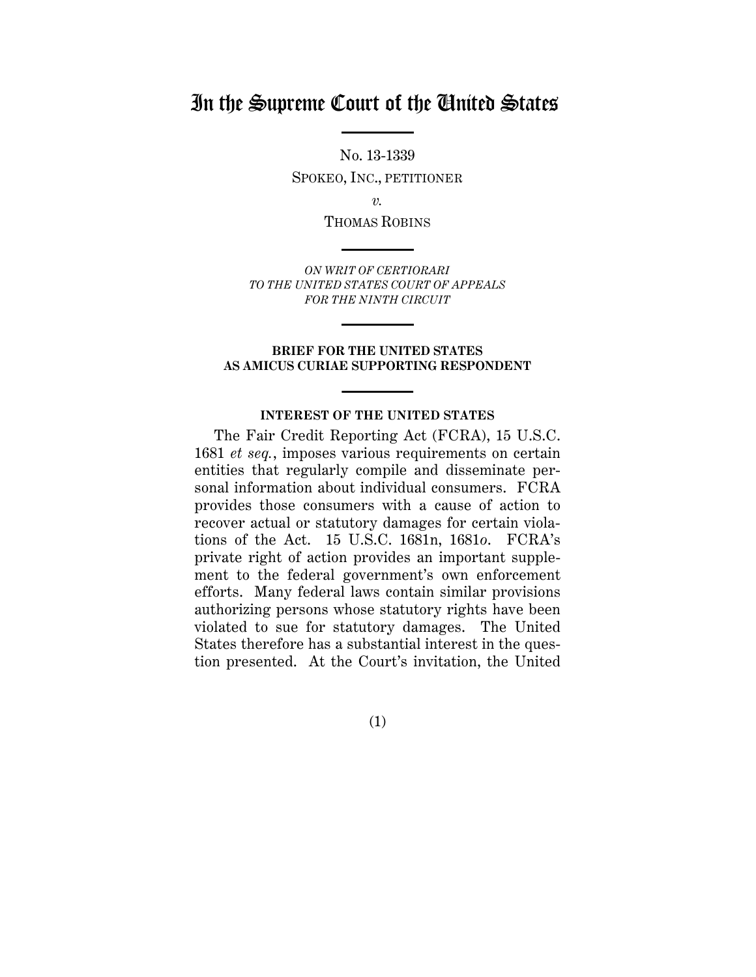## In the Supreme Court of the United States

No. 13-1339 SPOKEO, INC., PETITIONER

*v.*

THOMAS ROBINS

*ON WRIT OF CERTIORARI TO THE UNITED STATES COURT OF APPEALS FOR THE NINTH CIRCUIT*

#### **BRIEF FOR THE UNITED STATES AS AMICUS CURIAE SUPPORTING RESPONDENT**

## **INTEREST OF THE UNITED STATES**

The Fair Credit Reporting Act (FCRA), 15 U.S.C. 1681 *et seq.*, imposes various requirements on certain entities that regularly compile and disseminate personal information about individual consumers. FCRA provides those consumers with a cause of action to recover actual or statutory damages for certain violations of the Act. 15 U.S.C. 1681n, 1681*o*. FCRA's private right of action provides an important supplement to the federal government's own enforcement efforts. Many federal laws contain similar provisions authorizing persons whose statutory rights have been violated to sue for statutory damages. The United States therefore has a substantial interest in the question presented. At the Court's invitation, the United

(1)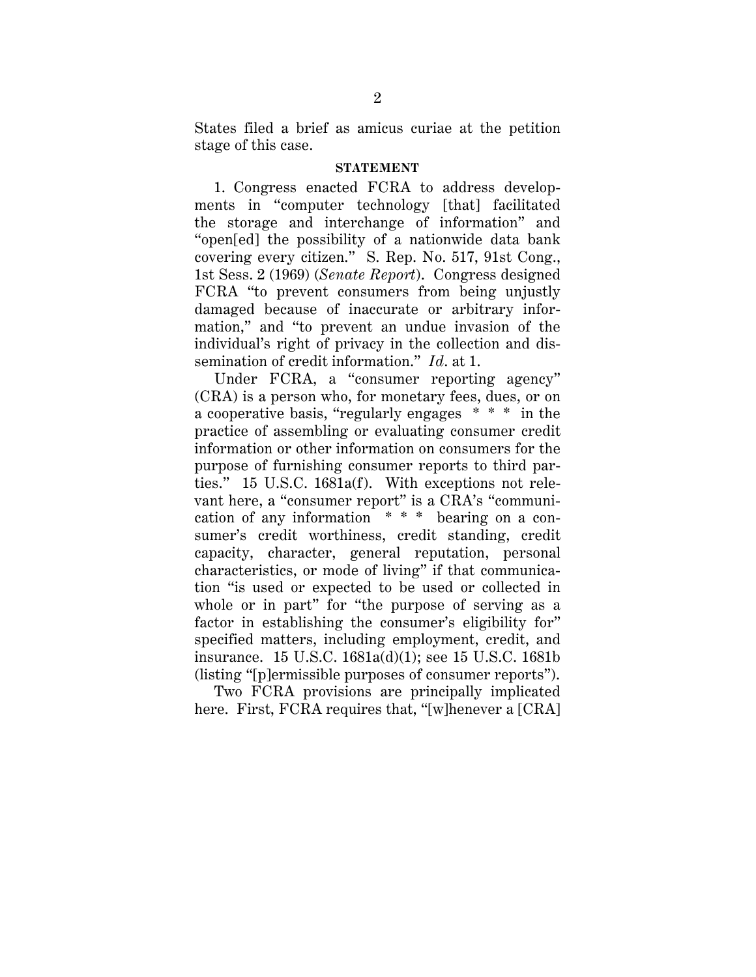States filed a brief as amicus curiae at the petition stage of this case.

#### **STATEMENT**

1. Congress enacted FCRA to address developments in "computer technology [that] facilitated the storage and interchange of information" and "open[ed] the possibility of a nationwide data bank covering every citizen." S. Rep. No. 517, 91st Cong., 1st Sess. 2 (1969) (*Senate Report*). Congress designed FCRA "to prevent consumers from being unjustly damaged because of inaccurate or arbitrary information," and "to prevent an undue invasion of the individual's right of privacy in the collection and dissemination of credit information." *Id*. at 1.

Under FCRA, a "consumer reporting agency" (CRA) is a person who, for monetary fees, dues, or on a cooperative basis, "regularly engages \* \* \* in the practice of assembling or evaluating consumer credit information or other information on consumers for the purpose of furnishing consumer reports to third parties." 15 U.S.C. 1681a(f). With exceptions not relevant here, a "consumer report" is a CRA's "communication of any information \* \* \* bearing on a consumer's credit worthiness, credit standing, credit capacity, character, general reputation, personal characteristics, or mode of living" if that communication "is used or expected to be used or collected in whole or in part" for "the purpose of serving as a factor in establishing the consumer's eligibility for" specified matters, including employment, credit, and insurance. 15 U.S.C. 1681a(d)(1); see 15 U.S.C. 1681b (listing "[p]ermissible purposes of consumer reports").

Two FCRA provisions are principally implicated here. First, FCRA requires that, "[w]henever a [CRA]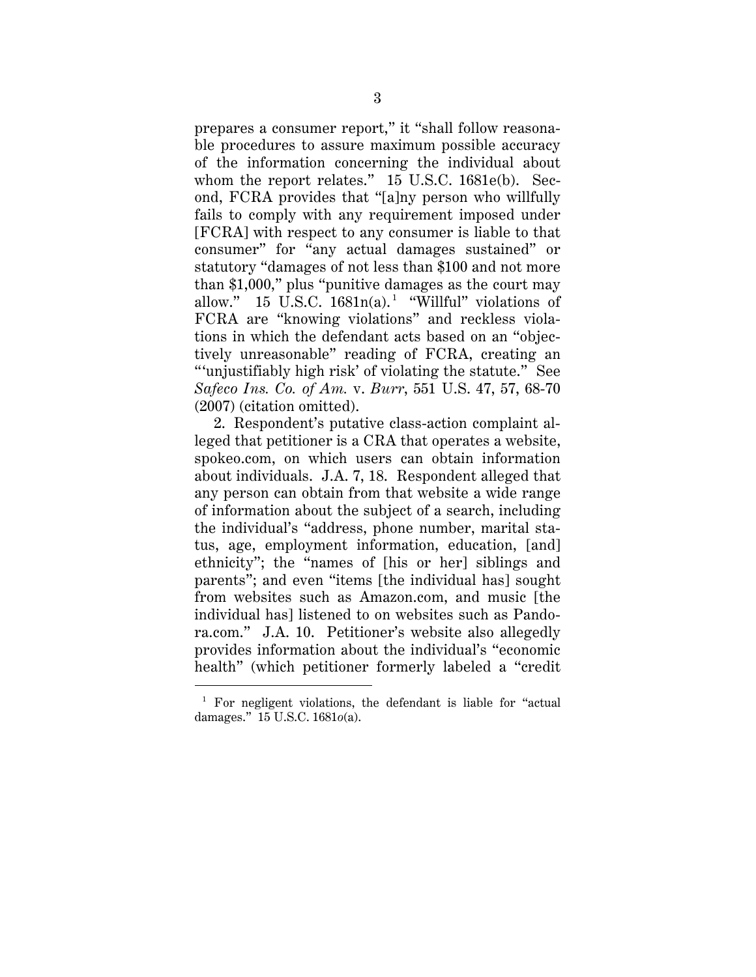prepares a consumer report," it "shall follow reasonable procedures to assure maximum possible accuracy of the information concerning the individual about whom the report relates." 15 U.S.C. 1681e(b). Second, FCRA provides that "[a]ny person who willfully fails to comply with any requirement imposed under [FCRA] with respect to any consumer is liable to that consumer" for "any actual damages sustained" or statutory "damages of not less than \$100 and not more than \$1,000," plus "punitive damages as the court may allow." 15 U.S.C.  $1681n(a)$ .<sup>1</sup> "Willful" violations of FCRA are "knowing violations" and reckless violations in which the defendant acts based on an "objectively unreasonable" reading of FCRA, creating an "'unjustifiably high risk' of violating the statute." See *Safeco Ins. Co. of Am.* v. *Burr*, 551 U.S. 47, 57, 68-70 (2007) (citation omitted).

2. Respondent's putative class-action complaint alleged that petitioner is a CRA that operates a website, spokeo.com, on which users can obtain information about individuals. J.A. 7, 18. Respondent alleged that any person can obtain from that website a wide range of information about the subject of a search, including the individual's "address, phone number, marital status, age, employment information, education, [and] ethnicity"; the "names of [his or her] siblings and parents"; and even "items [the individual has] sought from websites such as Amazon.com, and music [the individual has] listened to on websites such as Pandora.com." J.A. 10. Petitioner's website also allegedly provides information about the individual's "economic health" (which petitioner formerly labeled a "credit

 <sup>1</sup> For negligent violations, the defendant is liable for "actual damages." 15 U.S.C. 1681*o*(a).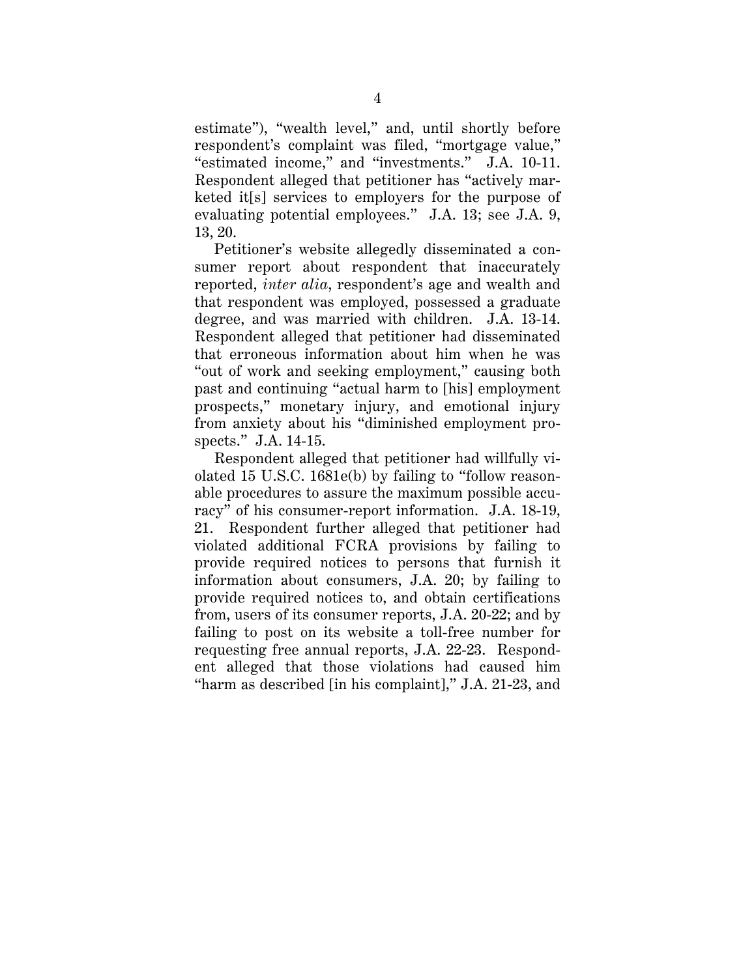estimate"), "wealth level," and, until shortly before respondent's complaint was filed, "mortgage value," "estimated income," and "investments." J.A. 10-11. Respondent alleged that petitioner has "actively marketed it[s] services to employers for the purpose of evaluating potential employees." J.A. 13; see J.A. 9, 13, 20.

Petitioner's website allegedly disseminated a consumer report about respondent that inaccurately reported, *inter alia*, respondent's age and wealth and that respondent was employed, possessed a graduate degree, and was married with children. J.A. 13-14. Respondent alleged that petitioner had disseminated that erroneous information about him when he was "out of work and seeking employment," causing both past and continuing "actual harm to [his] employment prospects," monetary injury, and emotional injury from anxiety about his "diminished employment prospects." J.A. 14-15.

Respondent alleged that petitioner had willfully violated 15 U.S.C. 1681e(b) by failing to "follow reasonable procedures to assure the maximum possible accuracy" of his consumer-report information. J.A. 18-19, 21. Respondent further alleged that petitioner had violated additional FCRA provisions by failing to provide required notices to persons that furnish it information about consumers, J.A. 20; by failing to provide required notices to, and obtain certifications from, users of its consumer reports, J.A. 20-22; and by failing to post on its website a toll-free number for requesting free annual reports, J.A. 22-23. Respondent alleged that those violations had caused him "harm as described [in his complaint]," J.A. 21-23, and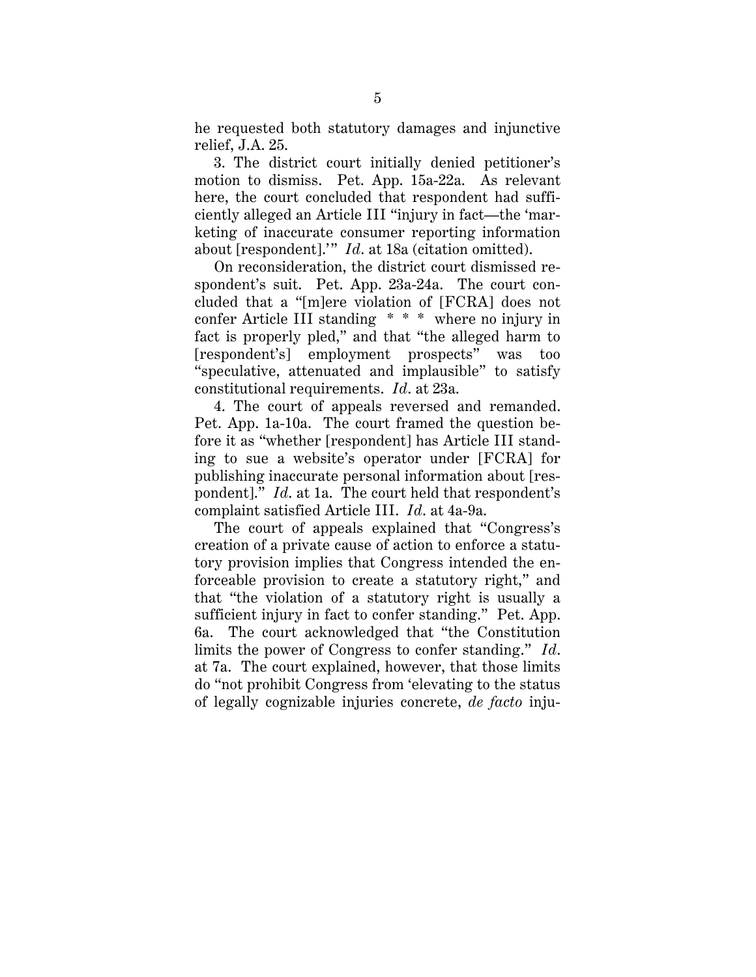he requested both statutory damages and injunctive relief, J.A. 25.

3. The district court initially denied petitioner's motion to dismiss. Pet. App. 15a-22a. As relevant here, the court concluded that respondent had sufficiently alleged an Article III "injury in fact—the 'marketing of inaccurate consumer reporting information about [respondent].'" *Id*. at 18a (citation omitted).

On reconsideration, the district court dismissed respondent's suit. Pet. App. 23a-24a. The court concluded that a "[m]ere violation of [FCRA] does not confer Article III standing \* \* \* where no injury in fact is properly pled," and that "the alleged harm to [respondent's] employment prospects" was too "speculative, attenuated and implausible" to satisfy constitutional requirements. *Id*. at 23a.

4. The court of appeals reversed and remanded. Pet. App. 1a-10a. The court framed the question before it as "whether [respondent] has Article III standing to sue a website's operator under [FCRA] for publishing inaccurate personal information about [respondent]." *Id*. at 1a. The court held that respondent's complaint satisfied Article III. *Id*. at 4a-9a.

The court of appeals explained that "Congress's creation of a private cause of action to enforce a statutory provision implies that Congress intended the enforceable provision to create a statutory right," and that "the violation of a statutory right is usually a sufficient injury in fact to confer standing." Pet. App. 6a. The court acknowledged that "the Constitution limits the power of Congress to confer standing." *Id*. at 7a. The court explained, however, that those limits do "not prohibit Congress from 'elevating to the status of legally cognizable injuries concrete, *de facto* inju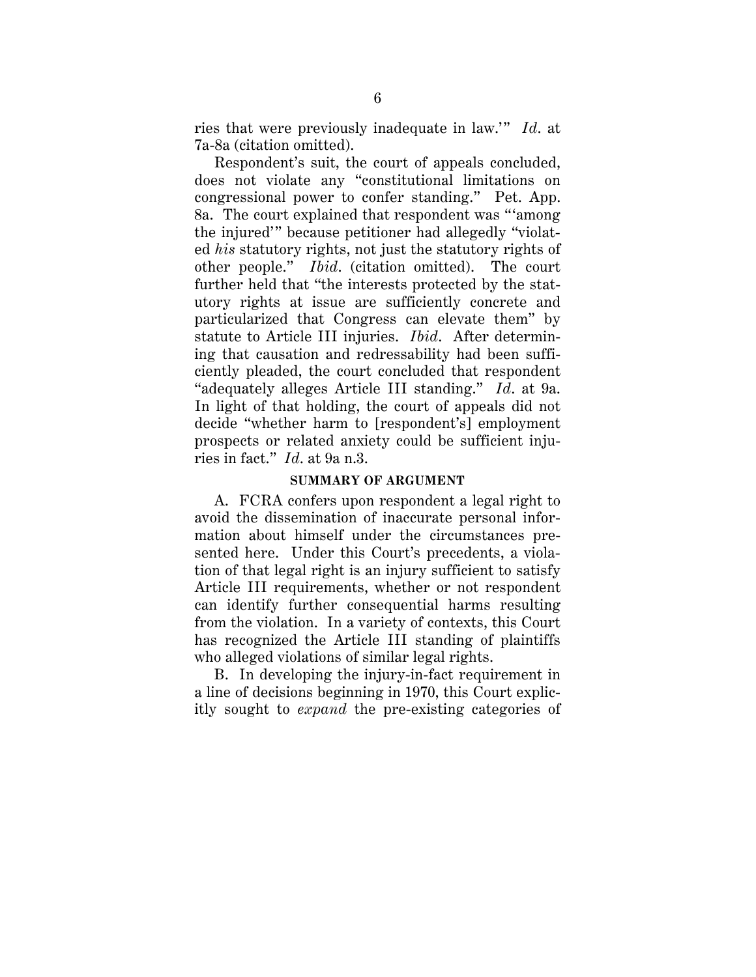ries that were previously inadequate in law.'" *Id*. at 7a-8a (citation omitted).

Respondent's suit, the court of appeals concluded, does not violate any "constitutional limitations on congressional power to confer standing." Pet. App. 8a. The court explained that respondent was "'among the injured'" because petitioner had allegedly "violated *his* statutory rights, not just the statutory rights of other people." *Ibid*. (citation omitted). The court further held that "the interests protected by the statutory rights at issue are sufficiently concrete and particularized that Congress can elevate them" by statute to Article III injuries. *Ibid*. After determining that causation and redressability had been sufficiently pleaded, the court concluded that respondent "adequately alleges Article III standing." *Id*. at 9a. In light of that holding, the court of appeals did not decide "whether harm to [respondent's] employment prospects or related anxiety could be sufficient injuries in fact." *Id*. at 9a n.3.

#### **SUMMARY OF ARGUMENT**

A. FCRA confers upon respondent a legal right to avoid the dissemination of inaccurate personal information about himself under the circumstances presented here. Under this Court's precedents, a violation of that legal right is an injury sufficient to satisfy Article III requirements, whether or not respondent can identify further consequential harms resulting from the violation. In a variety of contexts, this Court has recognized the Article III standing of plaintiffs who alleged violations of similar legal rights.

B. In developing the injury-in-fact requirement in a line of decisions beginning in 1970, this Court explicitly sought to *expand* the pre-existing categories of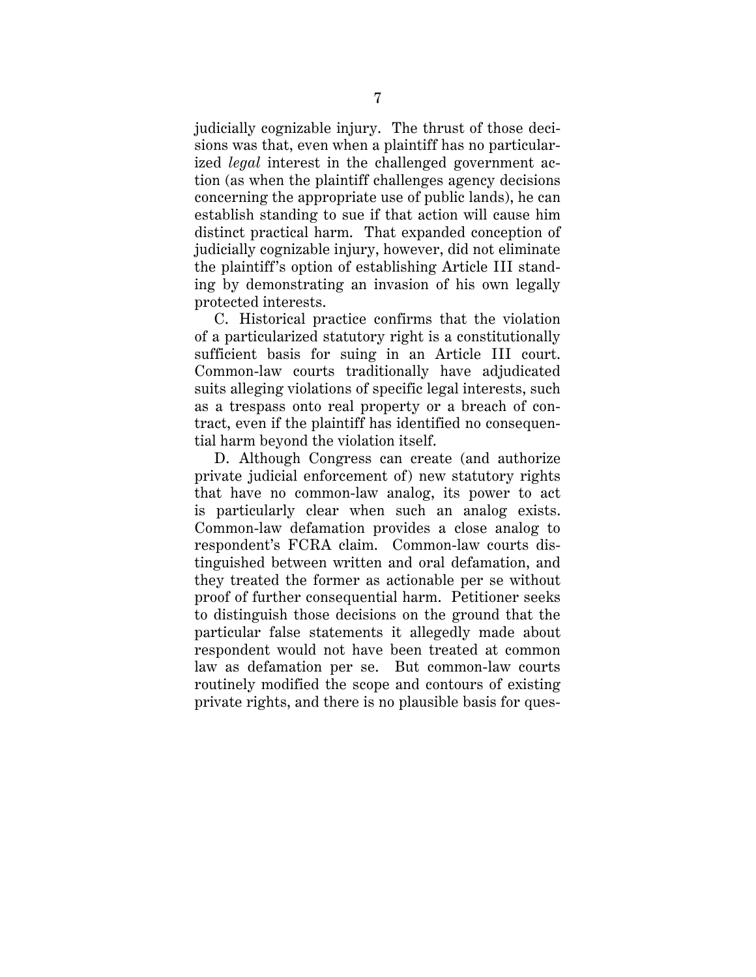judicially cognizable injury. The thrust of those decisions was that, even when a plaintiff has no particularized *legal* interest in the challenged government action (as when the plaintiff challenges agency decisions concerning the appropriate use of public lands), he can establish standing to sue if that action will cause him distinct practical harm. That expanded conception of judicially cognizable injury, however, did not eliminate the plaintiff's option of establishing Article III standing by demonstrating an invasion of his own legally protected interests.

C. Historical practice confirms that the violation of a particularized statutory right is a constitutionally sufficient basis for suing in an Article III court. Common-law courts traditionally have adjudicated suits alleging violations of specific legal interests, such as a trespass onto real property or a breach of contract, even if the plaintiff has identified no consequential harm beyond the violation itself.

D. Although Congress can create (and authorize private judicial enforcement of) new statutory rights that have no common-law analog, its power to act is particularly clear when such an analog exists. Common-law defamation provides a close analog to respondent's FCRA claim. Common-law courts distinguished between written and oral defamation, and they treated the former as actionable per se without proof of further consequential harm. Petitioner seeks to distinguish those decisions on the ground that the particular false statements it allegedly made about respondent would not have been treated at common law as defamation per se. But common-law courts routinely modified the scope and contours of existing private rights, and there is no plausible basis for ques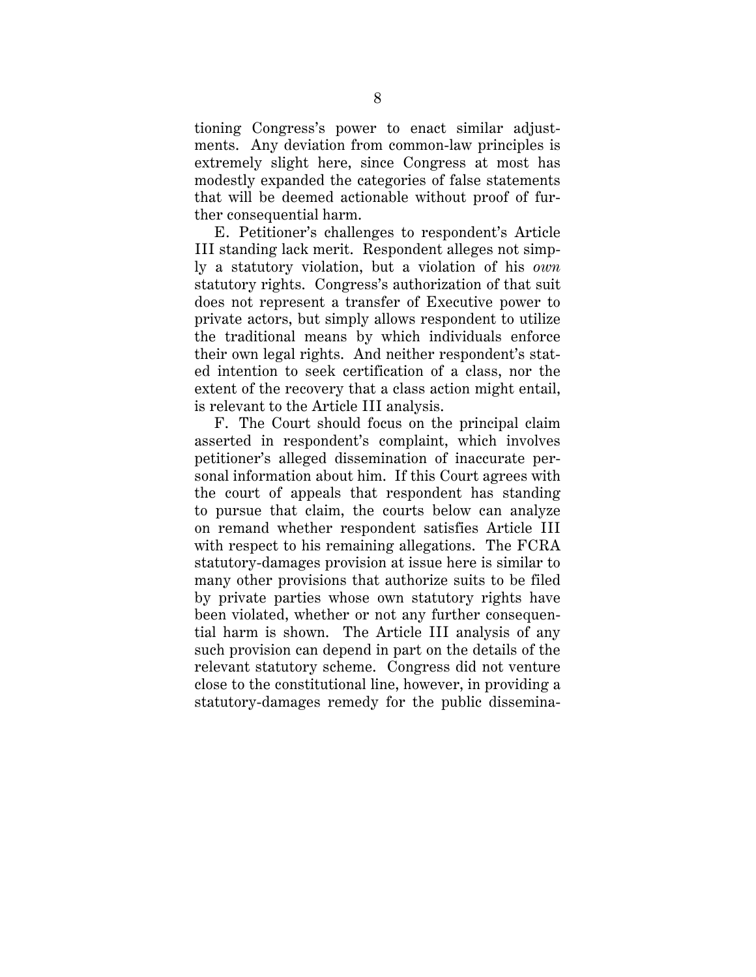tioning Congress's power to enact similar adjustments. Any deviation from common-law principles is extremely slight here, since Congress at most has modestly expanded the categories of false statements that will be deemed actionable without proof of further consequential harm.

E. Petitioner's challenges to respondent's Article III standing lack merit. Respondent alleges not simply a statutory violation, but a violation of his *own* statutory rights. Congress's authorization of that suit does not represent a transfer of Executive power to private actors, but simply allows respondent to utilize the traditional means by which individuals enforce their own legal rights. And neither respondent's stated intention to seek certification of a class, nor the extent of the recovery that a class action might entail, is relevant to the Article III analysis.

F. The Court should focus on the principal claim asserted in respondent's complaint, which involves petitioner's alleged dissemination of inaccurate personal information about him. If this Court agrees with the court of appeals that respondent has standing to pursue that claim, the courts below can analyze on remand whether respondent satisfies Article III with respect to his remaining allegations. The FCRA statutory-damages provision at issue here is similar to many other provisions that authorize suits to be filed by private parties whose own statutory rights have been violated, whether or not any further consequential harm is shown. The Article III analysis of any such provision can depend in part on the details of the relevant statutory scheme. Congress did not venture close to the constitutional line, however, in providing a statutory-damages remedy for the public dissemina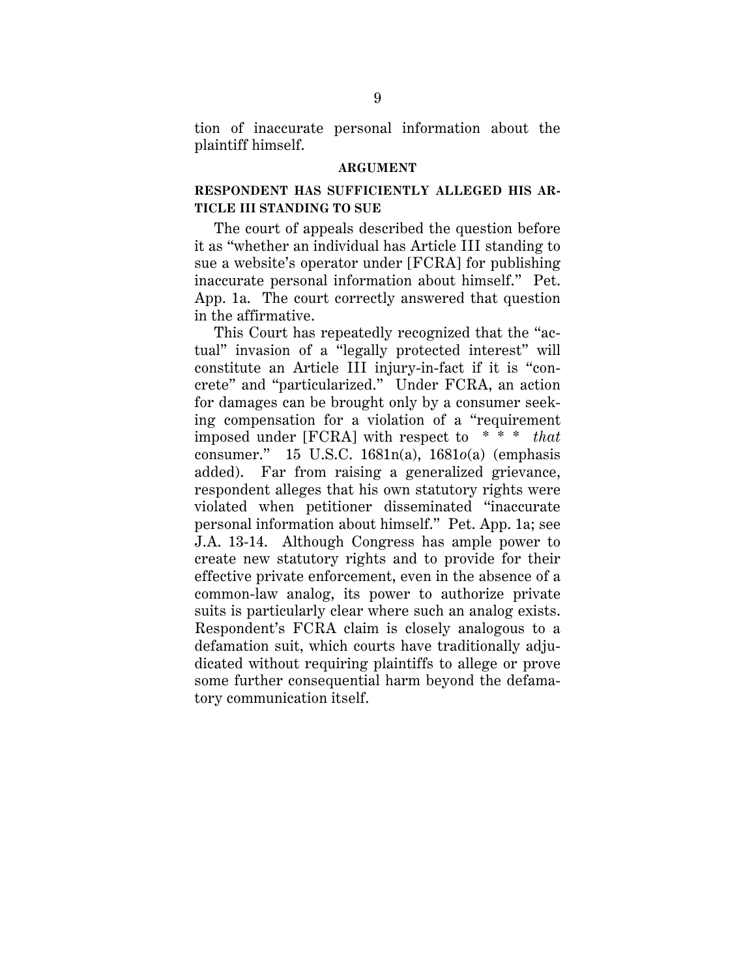tion of inaccurate personal information about the plaintiff himself.

#### **ARGUMENT**

## **RESPONDENT HAS SUFFICIENTLY ALLEGED HIS AR-TICLE III STANDING TO SUE**

The court of appeals described the question before it as "whether an individual has Article III standing to sue a website's operator under [FCRA] for publishing inaccurate personal information about himself." Pet. App. 1a. The court correctly answered that question in the affirmative.

This Court has repeatedly recognized that the "actual" invasion of a "legally protected interest" will constitute an Article III injury-in-fact if it is "concrete" and "particularized." Under FCRA, an action for damages can be brought only by a consumer seeking compensation for a violation of a "requirement imposed under [FCRA] with respect to \* \* \* *that* consumer." 15 U.S.C. 1681n(a), 1681*o*(a) (emphasis added). Far from raising a generalized grievance, respondent alleges that his own statutory rights were violated when petitioner disseminated "inaccurate personal information about himself." Pet. App. 1a; see J.A. 13-14. Although Congress has ample power to create new statutory rights and to provide for their effective private enforcement, even in the absence of a common-law analog, its power to authorize private suits is particularly clear where such an analog exists. Respondent's FCRA claim is closely analogous to a defamation suit, which courts have traditionally adjudicated without requiring plaintiffs to allege or prove some further consequential harm beyond the defamatory communication itself.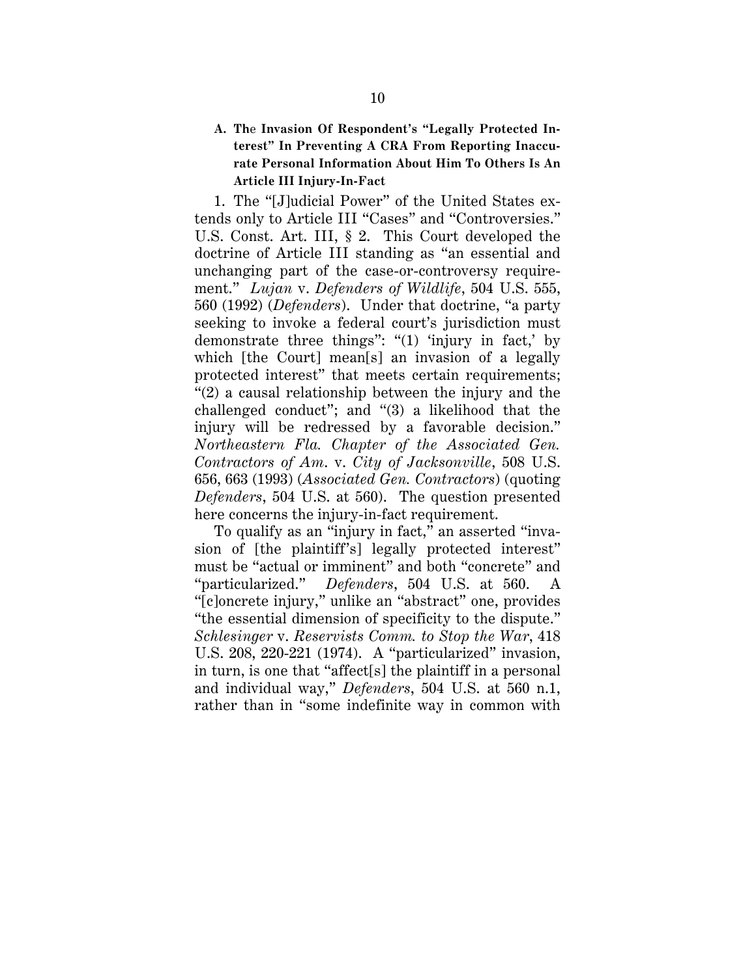## **A. Th**e **Invasion Of Respondent's "Legally Protected Interest" In Preventing A CRA From Reporting Inaccurate Personal Information About Him To Others Is An Article III Injury-In-Fact**

1. The "[J]udicial Power" of the United States extends only to Article III "Cases" and "Controversies." U.S. Const. Art. III, § 2. This Court developed the doctrine of Article III standing as "an essential and unchanging part of the case-or-controversy requirement." *Lujan* v. *Defenders of Wildlife*, 504 U.S. 555, 560 (1992) (*Defenders*). Under that doctrine, "a party seeking to invoke a federal court's jurisdiction must demonstrate three things": "(1) 'injury in fact,' by which [the Court] mean[s] an invasion of a legally protected interest" that meets certain requirements; "(2) a causal relationship between the injury and the challenged conduct"; and "(3) a likelihood that the injury will be redressed by a favorable decision." *Northeastern Fla. Chapter of the Associated Gen. Contractors of Am*. v. *City of Jacksonville*, 508 U.S. 656, 663 (1993) (*Associated Gen. Contractors*) (quoting *Defenders*, 504 U.S. at 560). The question presented here concerns the injury-in-fact requirement.

To qualify as an "injury in fact," an asserted "invasion of [the plaintiff's] legally protected interest" must be "actual or imminent" and both "concrete" and "particularized." *Defenders*, 504 U.S. at 560. A "[c]oncrete injury," unlike an "abstract" one, provides "the essential dimension of specificity to the dispute." *Schlesinger* v. *Reservists Comm. to Stop the War*, 418 U.S. 208, 220-221 (1974). A "particularized" invasion, in turn, is one that "affect[s] the plaintiff in a personal and individual way," *Defenders*, 504 U.S. at 560 n.1, rather than in "some indefinite way in common with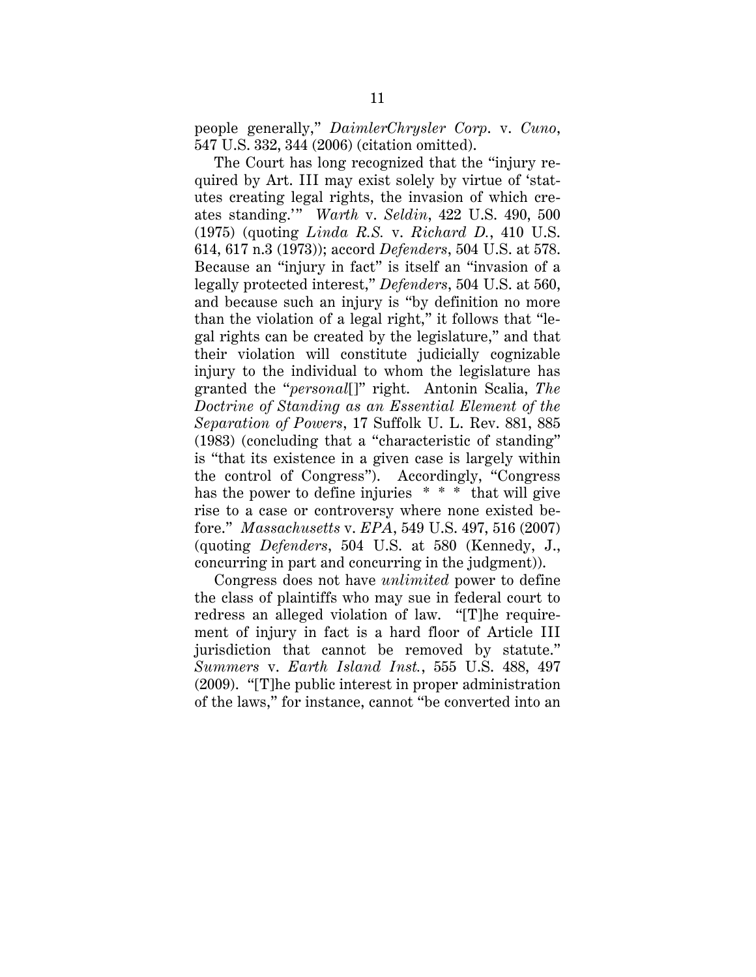people generally," *DaimlerChrysler Corp*. v. *Cuno*, 547 U.S. 332, 344 (2006) (citation omitted).

The Court has long recognized that the "injury required by Art. III may exist solely by virtue of 'statutes creating legal rights, the invasion of which creates standing.'" *Warth* v. *Seldin*, 422 U.S. 490, 500 (1975) (quoting *Linda R.S.* v. *Richard D.*, 410 U.S. 614, 617 n.3 (1973)); accord *Defenders*, 504 U.S. at 578. Because an "injury in fact" is itself an "invasion of a legally protected interest," *Defenders*, 504 U.S. at 560, and because such an injury is "by definition no more than the violation of a legal right," it follows that "legal rights can be created by the legislature," and that their violation will constitute judicially cognizable injury to the individual to whom the legislature has granted the "*personal*[]" right. Antonin Scalia, *The Doctrine of Standing as an Essential Element of the Separation of Powers*, 17 Suffolk U. L. Rev. 881, 885 (1983) (concluding that a "characteristic of standing" is "that its existence in a given case is largely within the control of Congress"). Accordingly, "Congress has the power to define injuries \* \* \* that will give rise to a case or controversy where none existed before." *Massachusetts* v. *EPA*, 549 U.S. 497, 516 (2007) (quoting *Defenders*, 504 U.S. at 580 (Kennedy, J., concurring in part and concurring in the judgment)).

Congress does not have *unlimited* power to define the class of plaintiffs who may sue in federal court to redress an alleged violation of law. "[T]he requirement of injury in fact is a hard floor of Article III jurisdiction that cannot be removed by statute." *Summers* v. *Earth Island Inst.*, 555 U.S. 488, 497 (2009). "[T]he public interest in proper administration of the laws," for instance, cannot "be converted into an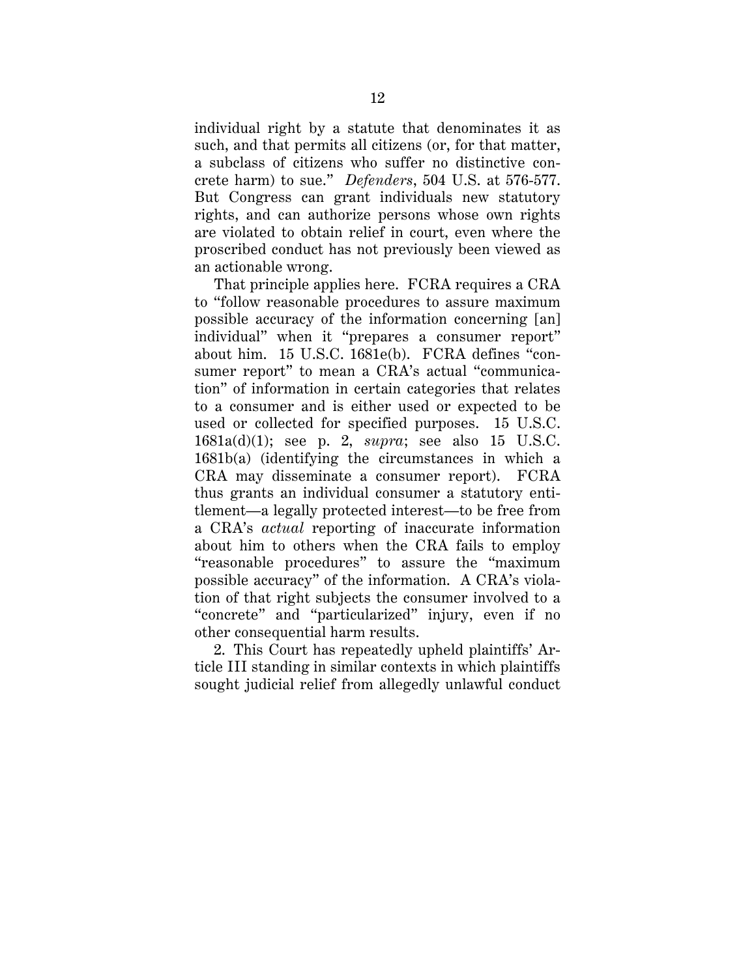individual right by a statute that denominates it as such, and that permits all citizens (or, for that matter, a subclass of citizens who suffer no distinctive concrete harm) to sue." *Defenders*, 504 U.S. at 576-577. But Congress can grant individuals new statutory rights, and can authorize persons whose own rights are violated to obtain relief in court, even where the proscribed conduct has not previously been viewed as an actionable wrong.

That principle applies here. FCRA requires a CRA to "follow reasonable procedures to assure maximum possible accuracy of the information concerning [an] individual" when it "prepares a consumer report" about him. 15 U.S.C. 1681e(b). FCRA defines "consumer report" to mean a CRA's actual "communication" of information in certain categories that relates to a consumer and is either used or expected to be used or collected for specified purposes. 15 U.S.C. 1681a(d)(1); see p. 2, *supra*; see also 15 U.S.C. 1681b(a) (identifying the circumstances in which a CRA may disseminate a consumer report). FCRA thus grants an individual consumer a statutory entitlement—a legally protected interest—to be free from a CRA's *actual* reporting of inaccurate information about him to others when the CRA fails to employ "reasonable procedures" to assure the "maximum possible accuracy" of the information. A CRA's violation of that right subjects the consumer involved to a "concrete" and "particularized" injury, even if no other consequential harm results.

2. This Court has repeatedly upheld plaintiffs' Article III standing in similar contexts in which plaintiffs sought judicial relief from allegedly unlawful conduct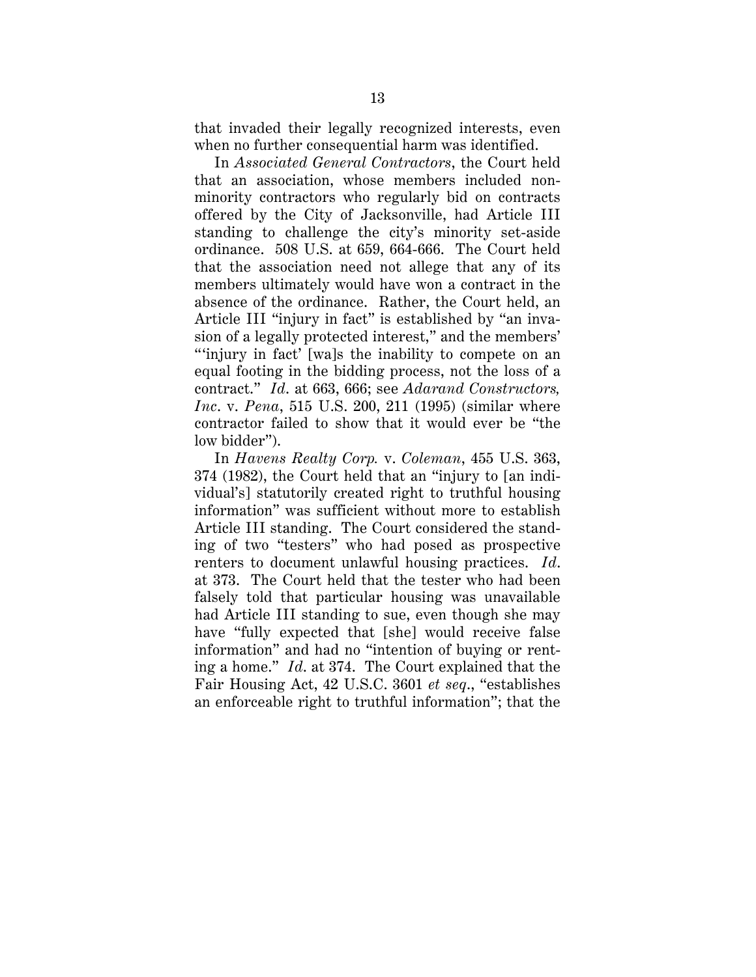that invaded their legally recognized interests, even when no further consequential harm was identified.

In *Associated General Contractors*, the Court held that an association, whose members included nonminority contractors who regularly bid on contracts offered by the City of Jacksonville, had Article III standing to challenge the city's minority set-aside ordinance. 508 U.S. at 659, 664-666. The Court held that the association need not allege that any of its members ultimately would have won a contract in the absence of the ordinance. Rather, the Court held, an Article III "injury in fact" is established by "an invasion of a legally protected interest," and the members' "'injury in fact' [wa]s the inability to compete on an equal footing in the bidding process, not the loss of a contract." *Id*. at 663, 666; see *Adarand Constructors, Inc*. v. *Pena*, 515 U.S. 200, 211 (1995) (similar where contractor failed to show that it would ever be "the low bidder").

In *Havens Realty Corp.* v. *Coleman*, 455 U.S. 363, 374 (1982), the Court held that an "injury to [an individual's] statutorily created right to truthful housing information" was sufficient without more to establish Article III standing. The Court considered the standing of two "testers" who had posed as prospective renters to document unlawful housing practices. *Id*. at 373. The Court held that the tester who had been falsely told that particular housing was unavailable had Article III standing to sue, even though she may have "fully expected that [she] would receive false information" and had no "intention of buying or renting a home." *Id*. at 374. The Court explained that the Fair Housing Act, 42 U.S.C. 3601 *et seq*., "establishes an enforceable right to truthful information"; that the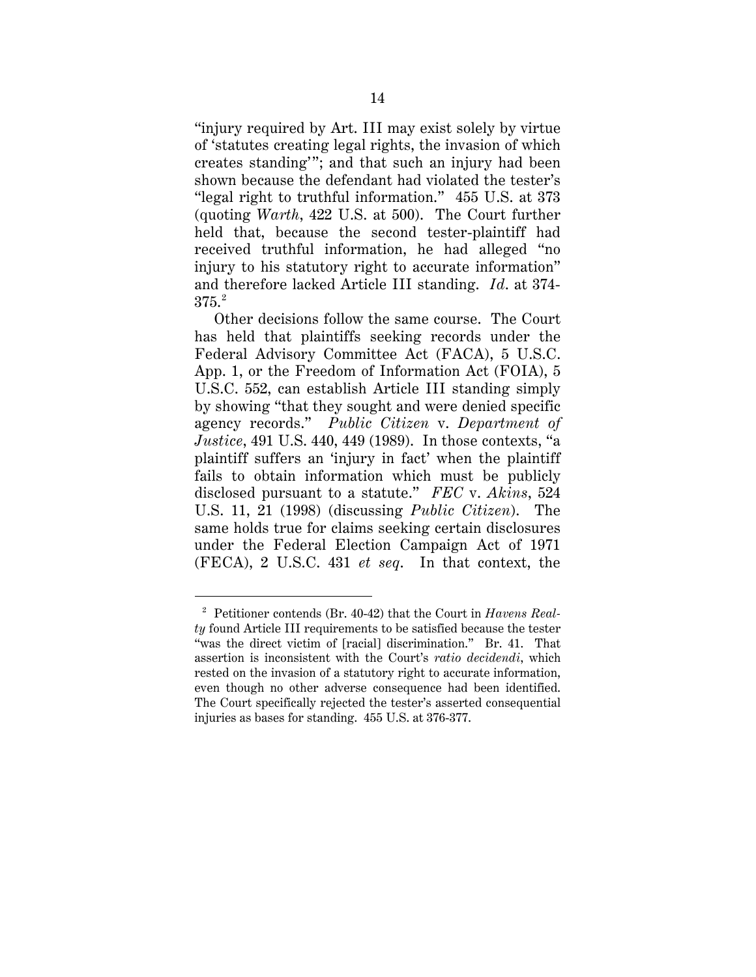"injury required by Art. III may exist solely by virtue of 'statutes creating legal rights, the invasion of which creates standing'"; and that such an injury had been shown because the defendant had violated the tester's "legal right to truthful information." 455 U.S. at 373 (quoting *Warth*, 422 U.S. at 500). The Court further held that, because the second tester-plaintiff had received truthful information, he had alleged "no injury to his statutory right to accurate information" and therefore lacked Article III standing. *Id*. at 374-  $375.<sup>2</sup>$ 

Other decisions follow the same course. The Court has held that plaintiffs seeking records under the Federal Advisory Committee Act (FACA), 5 U.S.C. App. 1, or the Freedom of Information Act (FOIA), 5 U.S.C. 552, can establish Article III standing simply by showing "that they sought and were denied specific agency records." *Public Citizen* v. *Department of Justice*, 491 U.S. 440, 449 (1989). In those contexts, "a plaintiff suffers an 'injury in fact' when the plaintiff fails to obtain information which must be publicly disclosed pursuant to a statute." *FEC* v. *Akins*, 524 U.S. 11, 21 (1998) (discussing *Public Citizen*). The same holds true for claims seeking certain disclosures under the Federal Election Campaign Act of 1971 (FECA), 2 U.S.C. 431 *et seq*. In that context, the

 <sup>2</sup> Petitioner contends (Br. 40-42) that the Court in *Havens Realty* found Article III requirements to be satisfied because the tester "was the direct victim of [racial] discrimination." Br. 41. That assertion is inconsistent with the Court's *ratio decidendi*, which rested on the invasion of a statutory right to accurate information, even though no other adverse consequence had been identified. The Court specifically rejected the tester's asserted consequential injuries as bases for standing. 455 U.S. at 376-377.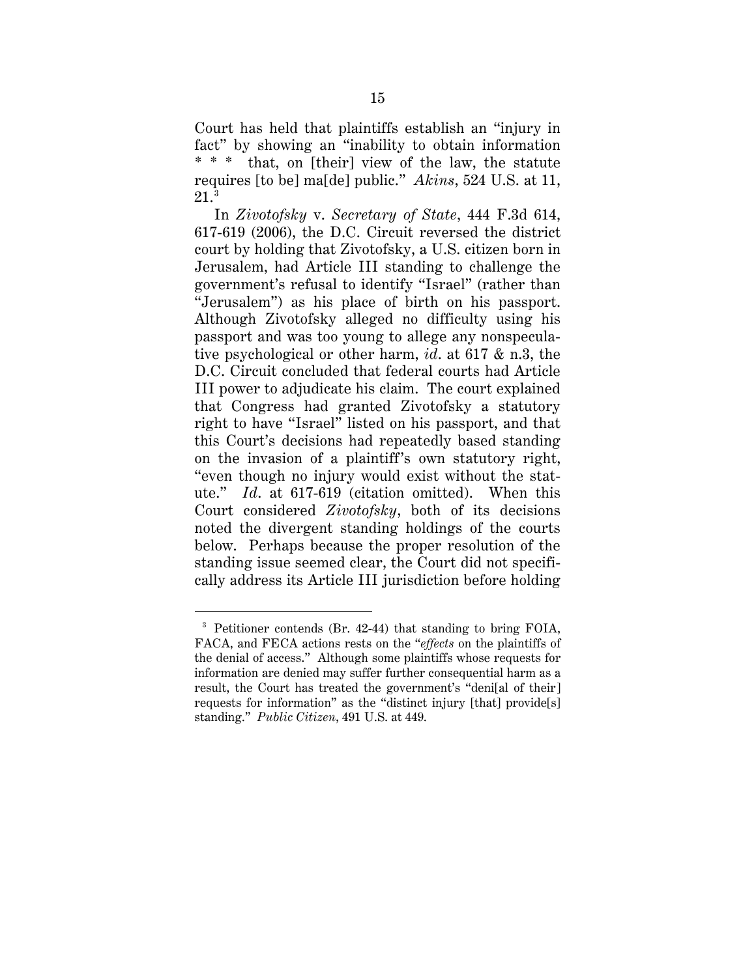Court has held that plaintiffs establish an "injury in fact" by showing an "inability to obtain information \* \* \* that, on [their] view of the law, the statute requires [to be] ma[de] public." *Akins*, 524 U.S. at 11,  $21.^3$ 

In *Zivotofsky* v. *Secretary of State*, 444 F.3d 614, 617-619 (2006), the D.C. Circuit reversed the district court by holding that Zivotofsky, a U.S. citizen born in Jerusalem, had Article III standing to challenge the government's refusal to identify "Israel" (rather than "Jerusalem") as his place of birth on his passport. Although Zivotofsky alleged no difficulty using his passport and was too young to allege any nonspeculative psychological or other harm, *id*. at 617 & n.3, the D.C. Circuit concluded that federal courts had Article III power to adjudicate his claim. The court explained that Congress had granted Zivotofsky a statutory right to have "Israel" listed on his passport, and that this Court's decisions had repeatedly based standing on the invasion of a plaintiff's own statutory right, "even though no injury would exist without the statute." *Id*. at 617-619 (citation omitted). When this Court considered *Zivotofsky*, both of its decisions noted the divergent standing holdings of the courts below. Perhaps because the proper resolution of the standing issue seemed clear, the Court did not specifically address its Article III jurisdiction before holding

 <sup>3</sup> Petitioner contends (Br. 42-44) that standing to bring FOIA, FACA, and FECA actions rests on the "*effects* on the plaintiffs of the denial of access." Although some plaintiffs whose requests for information are denied may suffer further consequential harm as a result, the Court has treated the government's "deni[al of their] requests for information" as the "distinct injury [that] provide[s] standing." *Public Citizen*, 491 U.S. at 449.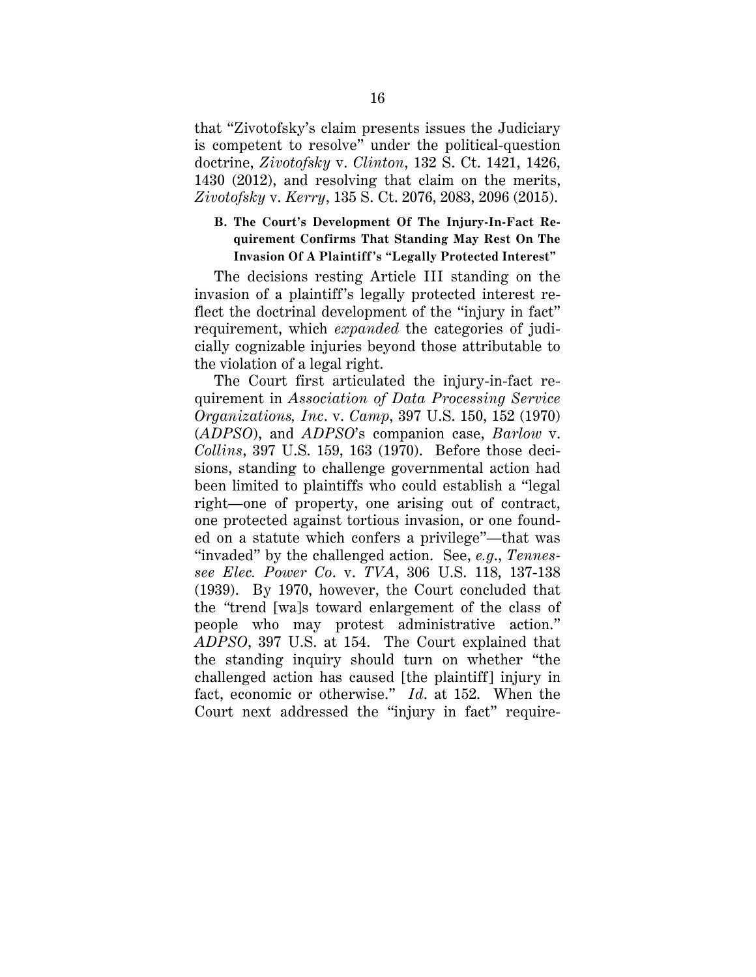that "Zivotofsky's claim presents issues the Judiciary is competent to resolve" under the political-question doctrine, *Zivotofsky* v. *Clinton*, 132 S. Ct. 1421, 1426, 1430 (2012), and resolving that claim on the merits, *Zivotofsky* v. *Kerry*, 135 S. Ct. 2076, 2083, 2096 (2015).

## **B. The Court's Development Of The Injury-In-Fact Requirement Confirms That Standing May Rest On The Invasion Of A Plaintiff's "Legally Protected Interest"**

The decisions resting Article III standing on the invasion of a plaintiff's legally protected interest reflect the doctrinal development of the "injury in fact" requirement, which *expanded* the categories of judicially cognizable injuries beyond those attributable to the violation of a legal right.

The Court first articulated the injury-in-fact requirement in *Association of Data Processing Service Organizations, Inc*. v. *Camp*, 397 U.S. 150, 152 (1970) (*ADPSO*), and *ADPSO*'s companion case, *Barlow* v. *Collins*, 397 U.S. 159, 163 (1970). Before those decisions, standing to challenge governmental action had been limited to plaintiffs who could establish a "legal right—one of property, one arising out of contract, one protected against tortious invasion, or one founded on a statute which confers a privilege"—that was "invaded" by the challenged action. See, *e.g*., *Tennessee Elec. Power Co*. v. *TVA*, 306 U.S. 118, 137-138 (1939). By 1970, however, the Court concluded that the *"*trend [wa]s toward enlargement of the class of people who may protest administrative action." *ADPSO*, 397 U.S. at 154. The Court explained that the standing inquiry should turn on whether "the challenged action has caused [the plaintiff] injury in fact, economic or otherwise." *Id*. at 152. When the Court next addressed the "injury in fact" require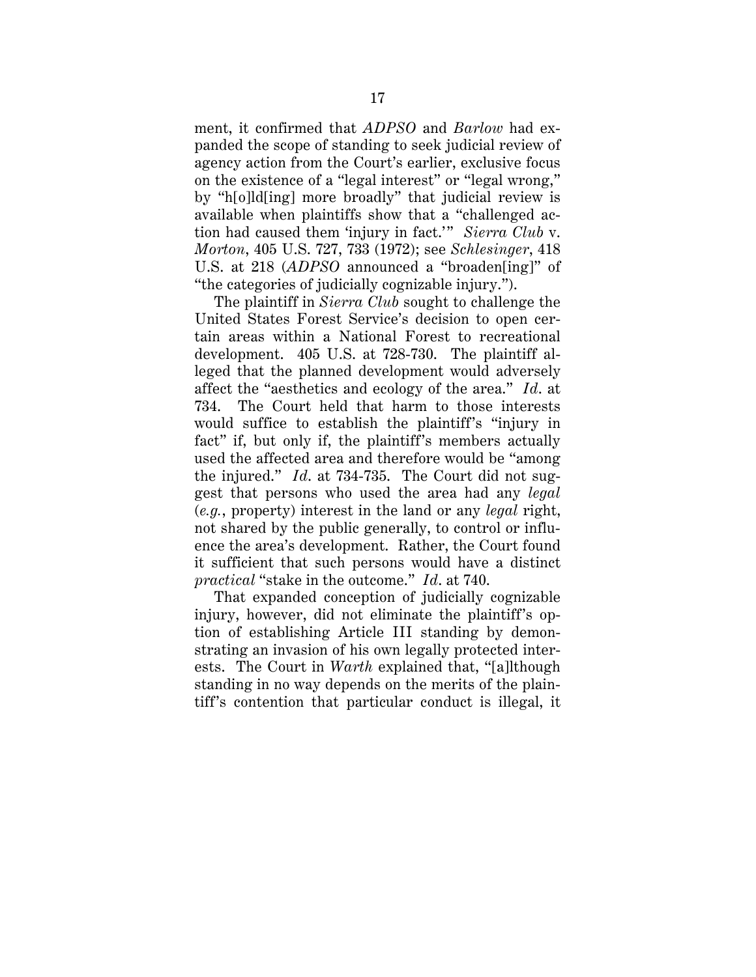ment, it confirmed that *ADPSO* and *Barlow* had expanded the scope of standing to seek judicial review of agency action from the Court's earlier, exclusive focus on the existence of a "legal interest" or "legal wrong," by "h[o]ld[ing] more broadly" that judicial review is available when plaintiffs show that a "challenged action had caused them 'injury in fact.'" *Sierra Club* v. *Morton*, 405 U.S. 727, 733 (1972); see *Schlesinger*, 418 U.S. at 218 (*ADPSO* announced a "broaden[ing]" of "the categories of judicially cognizable injury.").

The plaintiff in *Sierra Club* sought to challenge the United States Forest Service's decision to open certain areas within a National Forest to recreational development. 405 U.S. at 728-730. The plaintiff alleged that the planned development would adversely affect the "aesthetics and ecology of the area." *Id*. at 734. The Court held that harm to those interests would suffice to establish the plaintiff's "injury in fact" if, but only if, the plaintiff's members actually used the affected area and therefore would be "among the injured." *Id*. at 734-735. The Court did not suggest that persons who used the area had any *legal* (*e.g.*, property) interest in the land or any *legal* right, not shared by the public generally, to control or influence the area's development. Rather, the Court found it sufficient that such persons would have a distinct *practical* "stake in the outcome." *Id*. at 740.

That expanded conception of judicially cognizable injury, however, did not eliminate the plaintiff's option of establishing Article III standing by demonstrating an invasion of his own legally protected interests. The Court in *Warth* explained that, "[a]lthough standing in no way depends on the merits of the plaintiff's contention that particular conduct is illegal, it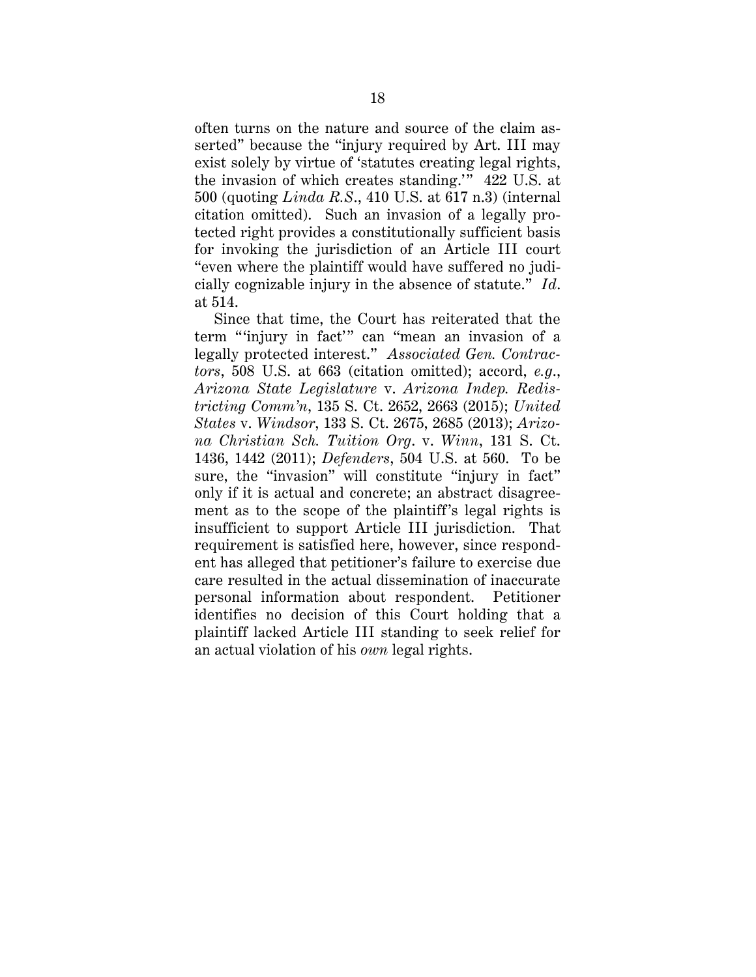often turns on the nature and source of the claim asserted" because the "injury required by Art. III may exist solely by virtue of 'statutes creating legal rights, the invasion of which creates standing.'" 422 U.S. at 500 (quoting *Linda R.S*., 410 U.S. at 617 n.3) (internal citation omitted). Such an invasion of a legally protected right provides a constitutionally sufficient basis for invoking the jurisdiction of an Article III court "even where the plaintiff would have suffered no judicially cognizable injury in the absence of statute." *Id*. at 514.

Since that time, the Court has reiterated that the term "'injury in fact'" can "mean an invasion of a legally protected interest." *Associated Gen. Contractors*, 508 U.S. at 663 (citation omitted); accord, *e.g*., *Arizona State Legislature* v. *Arizona Indep. Redistricting Comm'n*, 135 S. Ct. 2652, 2663 (2015); *United States* v. *Windsor*, 133 S. Ct. 2675, 2685 (2013); *Arizona Christian Sch. Tuition Org*. v. *Winn*, 131 S. Ct. 1436, 1442 (2011); *Defenders*, 504 U.S. at 560. To be sure, the "invasion" will constitute "injury in fact" only if it is actual and concrete; an abstract disagreement as to the scope of the plaintiff's legal rights is insufficient to support Article III jurisdiction. That requirement is satisfied here, however, since respondent has alleged that petitioner's failure to exercise due care resulted in the actual dissemination of inaccurate personal information about respondent. Petitioner identifies no decision of this Court holding that a plaintiff lacked Article III standing to seek relief for an actual violation of his *own* legal rights.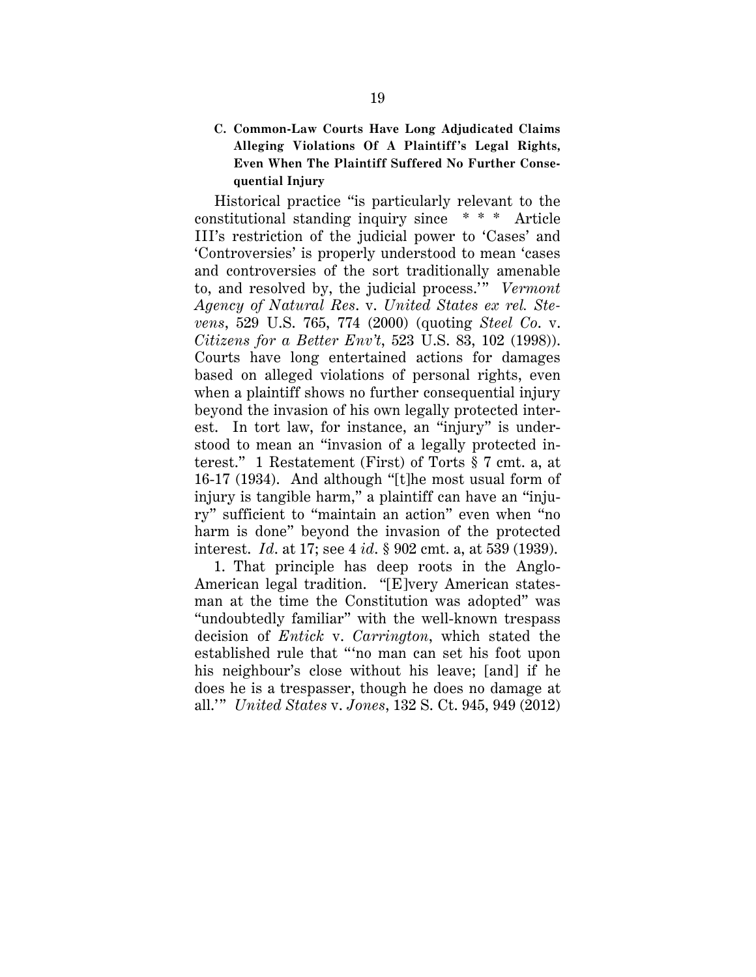## **C. Common-Law Courts Have Long Adjudicated Claims Alleging Violations Of A Plaintiff's Legal Rights, Even When The Plaintiff Suffered No Further Consequential Injury**

Historical practice "is particularly relevant to the constitutional standing inquiry since \* \* \* Article III's restriction of the judicial power to 'Cases' and 'Controversies' is properly understood to mean 'cases and controversies of the sort traditionally amenable to, and resolved by, the judicial process.'" *Vermont Agency of Natural Res*. v. *United States ex rel. Stevens*, 529 U.S. 765, 774 (2000) (quoting *Steel Co*. v. *Citizens for a Better Env't*, 523 U.S. 83, 102 (1998)). Courts have long entertained actions for damages based on alleged violations of personal rights, even when a plaintiff shows no further consequential injury beyond the invasion of his own legally protected interest. In tort law, for instance, an "injury" is understood to mean an "invasion of a legally protected interest." 1 Restatement (First) of Torts § 7 cmt. a, at 16-17 (1934). And although "[t]he most usual form of injury is tangible harm," a plaintiff can have an "injury" sufficient to "maintain an action" even when "no harm is done" beyond the invasion of the protected interest. *Id*. at 17; see 4 *id*. § 902 cmt. a, at 539 (1939).

1. That principle has deep roots in the Anglo-American legal tradition. "[E]very American statesman at the time the Constitution was adopted" was "undoubtedly familiar" with the well-known trespass decision of *Entick* v. *Carrington*, which stated the established rule that "'no man can set his foot upon his neighbour's close without his leave; [and] if he does he is a trespasser, though he does no damage at all.'" *United States* v. *Jones*, 132 S. Ct. 945, 949 (2012)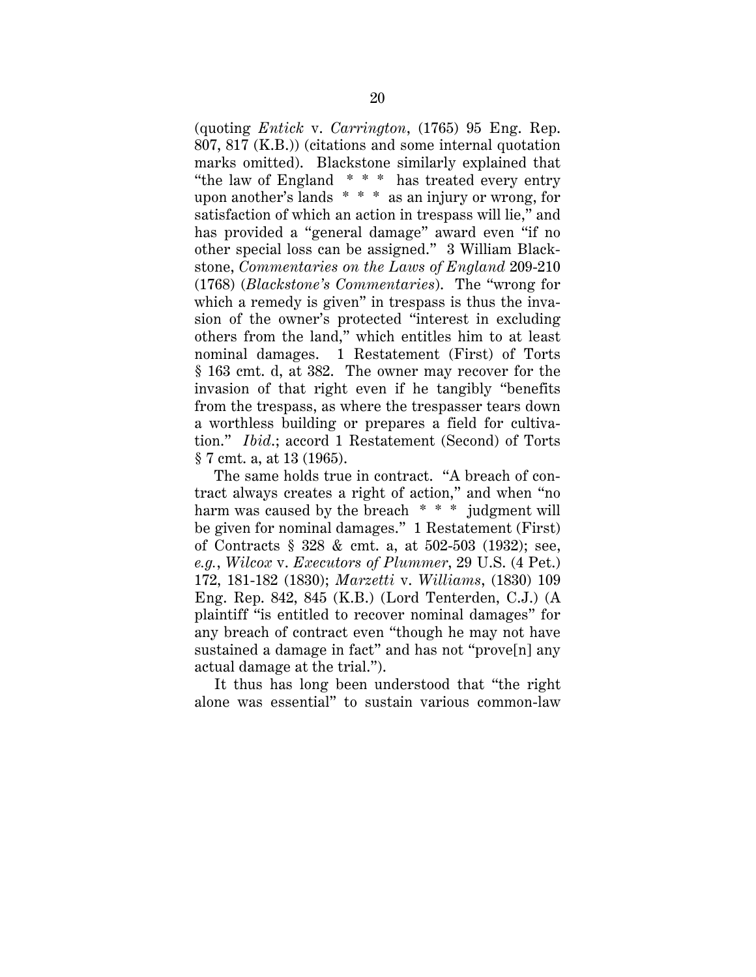(quoting *Entick* v. *Carrington*, (1765) 95 Eng. Rep. 807, 817 (K.B.)) (citations and some internal quotation marks omitted). Blackstone similarly explained that "the law of England \* \* \* has treated every entry upon another's lands \* \* \* as an injury or wrong, for satisfaction of which an action in trespass will lie," and has provided a "general damage" award even "if no other special loss can be assigned." 3 William Blackstone, *Commentaries on the Laws of England* 209-210 (1768) (*Blackstone's Commentaries*). The "wrong for which a remedy is given" in trespass is thus the invasion of the owner's protected "interest in excluding others from the land," which entitles him to at least nominal damages. 1 Restatement (First) of Torts § 163 cmt. d, at 382. The owner may recover for the invasion of that right even if he tangibly "benefits from the trespass, as where the trespasser tears down a worthless building or prepares a field for cultivation." *Ibid*.; accord 1 Restatement (Second) of Torts § 7 cmt. a, at 13 (1965).

The same holds true in contract. "A breach of contract always creates a right of action," and when "no harm was caused by the breach \* \* \* judgment will be given for nominal damages." 1 Restatement (First) of Contracts § 328 & cmt. a, at 502-503 (1932); see, *e.g.*, *Wilcox* v. *Executors of Plummer*, 29 U.S. (4 Pet.) 172, 181-182 (1830); *Marzetti* v. *Williams*, (1830) 109 Eng. Rep. 842, 845 (K.B.) (Lord Tenterden, C.J.) (A plaintiff "is entitled to recover nominal damages" for any breach of contract even "though he may not have sustained a damage in fact" and has not "prove[n] any actual damage at the trial.").

It thus has long been understood that "the right alone was essential" to sustain various common-law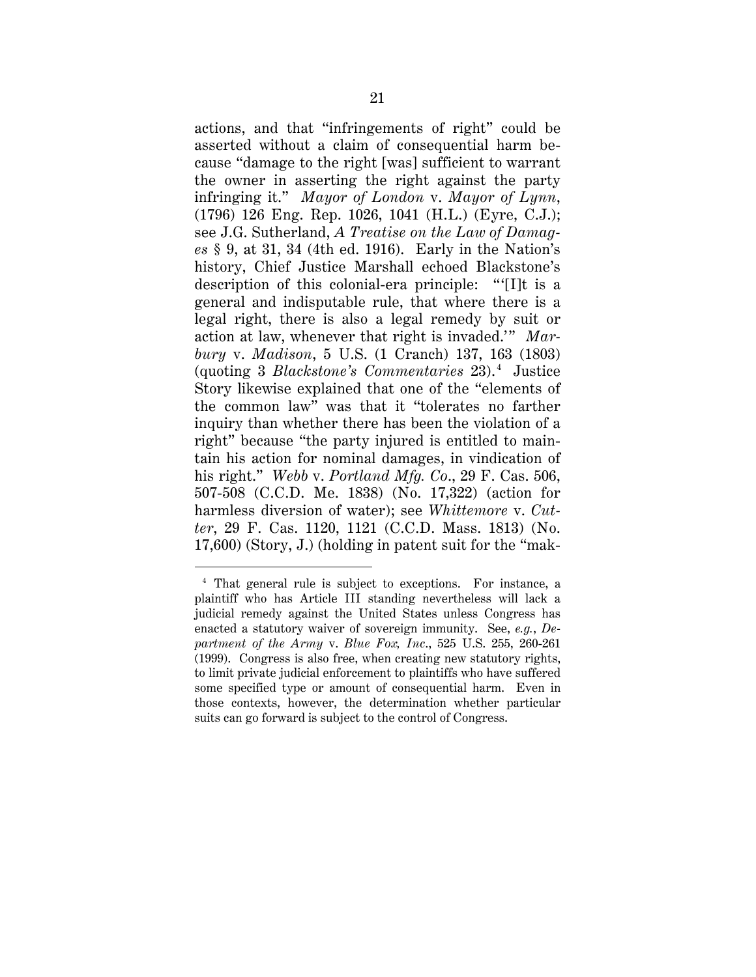actions, and that "infringements of right" could be asserted without a claim of consequential harm because "damage to the right [was] sufficient to warrant the owner in asserting the right against the party infringing it." *Mayor of London* v. *Mayor of Lynn*, (1796) 126 Eng. Rep. 1026, 1041 (H.L.) (Eyre, C.J.); see J.G. Sutherland, *A Treatise on the Law of Damages* § 9, at 31, 34 (4th ed. 1916). Early in the Nation's history, Chief Justice Marshall echoed Blackstone's description of this colonial-era principle: "'[I]t is a general and indisputable rule, that where there is a legal right, there is also a legal remedy by suit or action at law, whenever that right is invaded.'" *Marbury* v. *Madison*, 5 U.S. (1 Cranch) 137, 163 (1803) (quoting 3 *Blackstone's Commentaries* 23). <sup>4</sup> Justice Story likewise explained that one of the "elements of the common law" was that it "tolerates no farther inquiry than whether there has been the violation of a right" because "the party injured is entitled to maintain his action for nominal damages, in vindication of his right." *Webb* v. *Portland Mfg. Co*., 29 F. Cas. 506, 507-508 (C.C.D. Me. 1838) (No. 17,322) (action for harmless diversion of water); see *Whittemore* v. *Cutter*, 29 F. Cas. 1120, 1121 (C.C.D. Mass. 1813) (No. 17,600) (Story, J.) (holding in patent suit for the "mak-

 <sup>4</sup> That general rule is subject to exceptions. For instance, a plaintiff who has Article III standing nevertheless will lack a judicial remedy against the United States unless Congress has enacted a statutory waiver of sovereign immunity. See, *e.g.*, *Department of the Army* v. *Blue Fox, Inc*., 525 U.S. 255, 260-261 (1999). Congress is also free, when creating new statutory rights, to limit private judicial enforcement to plaintiffs who have suffered some specified type or amount of consequential harm. Even in those contexts, however, the determination whether particular suits can go forward is subject to the control of Congress.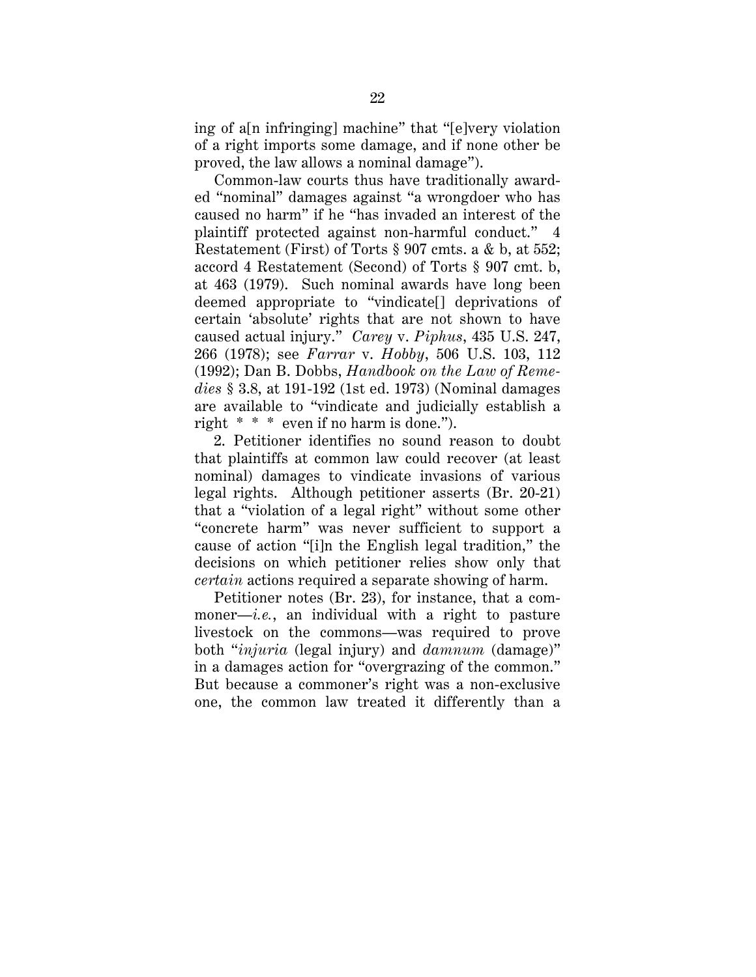ing of a[n infringing] machine" that "[e]very violation of a right imports some damage, and if none other be proved, the law allows a nominal damage").

Common-law courts thus have traditionally awarded "nominal" damages against "a wrongdoer who has caused no harm" if he "has invaded an interest of the plaintiff protected against non-harmful conduct." 4 Restatement (First) of Torts § 907 cmts. a & b, at 552; accord 4 Restatement (Second) of Torts § 907 cmt. b, at 463 (1979). Such nominal awards have long been deemed appropriate to "vindicate[] deprivations of certain 'absolute' rights that are not shown to have caused actual injury." *Carey* v. *Piphus*, 435 U.S. 247, 266 (1978); see *Farrar* v. *Hobby*, 506 U.S. 103, 112 (1992); Dan B. Dobbs, *Handbook on the Law of Remedies* § 3.8, at 191-192 (1st ed. 1973) (Nominal damages are available to "vindicate and judicially establish a right \* \* \* even if no harm is done.").

2. Petitioner identifies no sound reason to doubt that plaintiffs at common law could recover (at least nominal) damages to vindicate invasions of various legal rights. Although petitioner asserts (Br. 20-21) that a "violation of a legal right" without some other "concrete harm" was never sufficient to support a cause of action "[i]n the English legal tradition," the decisions on which petitioner relies show only that *certain* actions required a separate showing of harm.

Petitioner notes (Br. 23), for instance, that a commoner—*i.e.*, an individual with a right to pasture livestock on the commons—was required to prove both "*injuria* (legal injury) and *damnum* (damage)" in a damages action for "overgrazing of the common." But because a commoner's right was a non-exclusive one, the common law treated it differently than a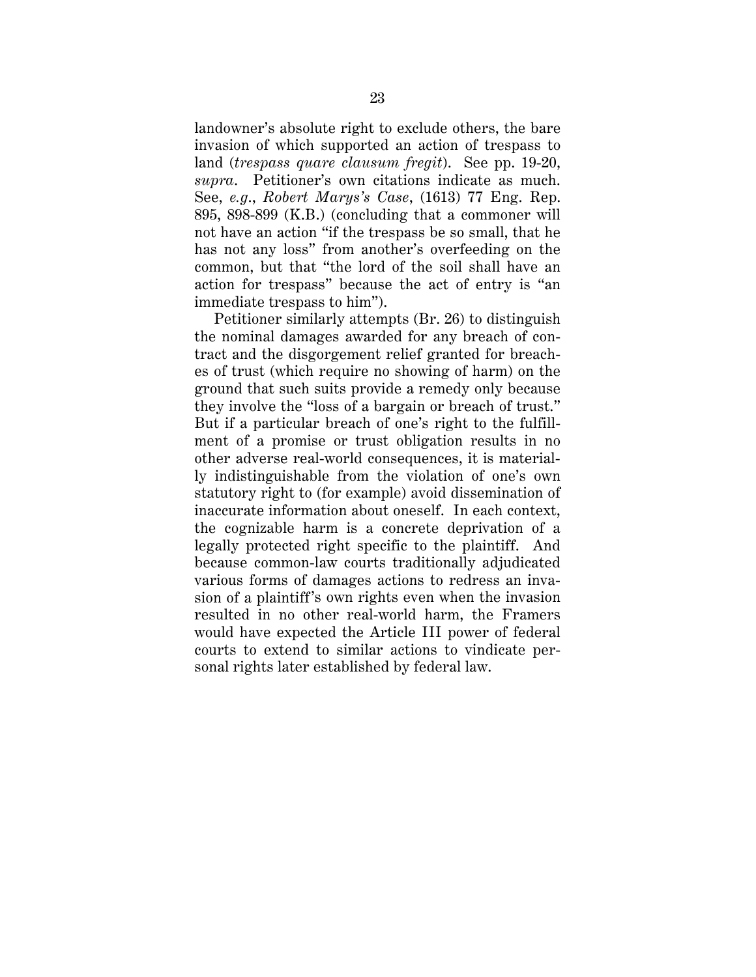landowner's absolute right to exclude others, the bare invasion of which supported an action of trespass to land (*trespass quare clausum fregit*). See pp. 19-20, *supra*. Petitioner's own citations indicate as much. See, *e.g*., *Robert Marys's Case*, (1613) 77 Eng. Rep. 895, 898-899 (K.B.) (concluding that a commoner will not have an action "if the trespass be so small, that he has not any loss" from another's overfeeding on the common, but that "the lord of the soil shall have an action for trespass" because the act of entry is "an immediate trespass to him").

Petitioner similarly attempts (Br. 26) to distinguish the nominal damages awarded for any breach of contract and the disgorgement relief granted for breaches of trust (which require no showing of harm) on the ground that such suits provide a remedy only because they involve the "loss of a bargain or breach of trust." But if a particular breach of one's right to the fulfillment of a promise or trust obligation results in no other adverse real-world consequences, it is materially indistinguishable from the violation of one's own statutory right to (for example) avoid dissemination of inaccurate information about oneself. In each context, the cognizable harm is a concrete deprivation of a legally protected right specific to the plaintiff. And because common-law courts traditionally adjudicated various forms of damages actions to redress an invasion of a plaintiff's own rights even when the invasion resulted in no other real-world harm, the Framers would have expected the Article III power of federal courts to extend to similar actions to vindicate personal rights later established by federal law.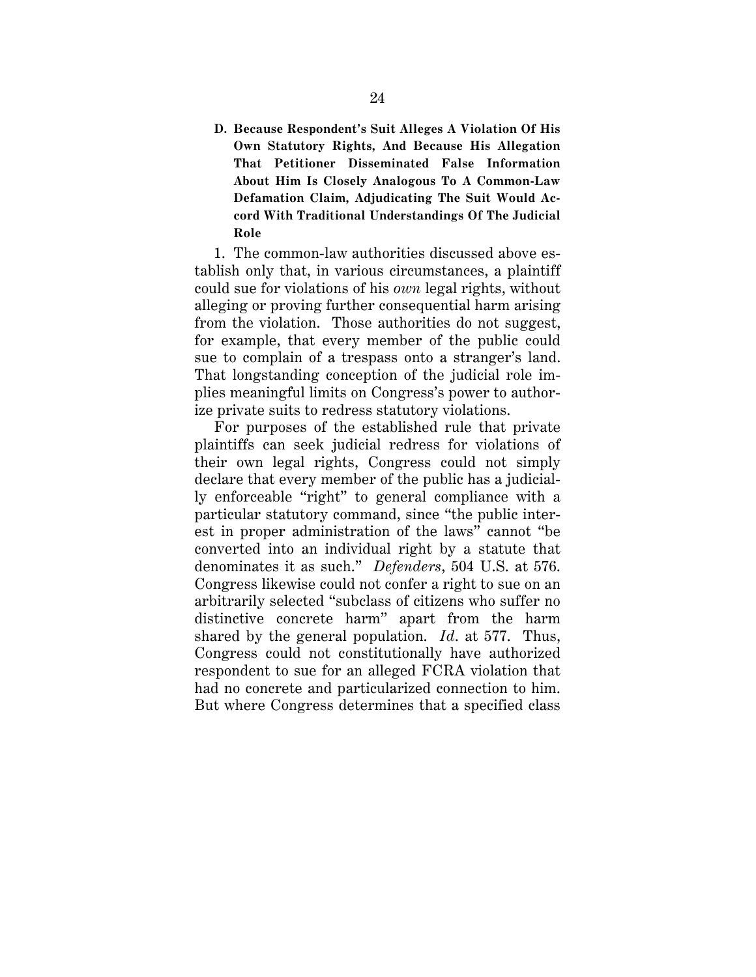**D. Because Respondent's Suit Alleges A Violation Of His Own Statutory Rights, And Because His Allegation That Petitioner Disseminated False Information About Him Is Closely Analogous To A Common-Law Defamation Claim, Adjudicating The Suit Would Accord With Traditional Understandings Of The Judicial Role**

1. The common-law authorities discussed above establish only that, in various circumstances, a plaintiff could sue for violations of his *own* legal rights, without alleging or proving further consequential harm arising from the violation. Those authorities do not suggest, for example, that every member of the public could sue to complain of a trespass onto a stranger's land. That longstanding conception of the judicial role implies meaningful limits on Congress's power to authorize private suits to redress statutory violations.

For purposes of the established rule that private plaintiffs can seek judicial redress for violations of their own legal rights, Congress could not simply declare that every member of the public has a judicially enforceable "right" to general compliance with a particular statutory command, since "the public interest in proper administration of the laws" cannot "be converted into an individual right by a statute that denominates it as such." *Defenders*, 504 U.S. at 576. Congress likewise could not confer a right to sue on an arbitrarily selected "subclass of citizens who suffer no distinctive concrete harm" apart from the harm shared by the general population. *Id*. at 577. Thus, Congress could not constitutionally have authorized respondent to sue for an alleged FCRA violation that had no concrete and particularized connection to him. But where Congress determines that a specified class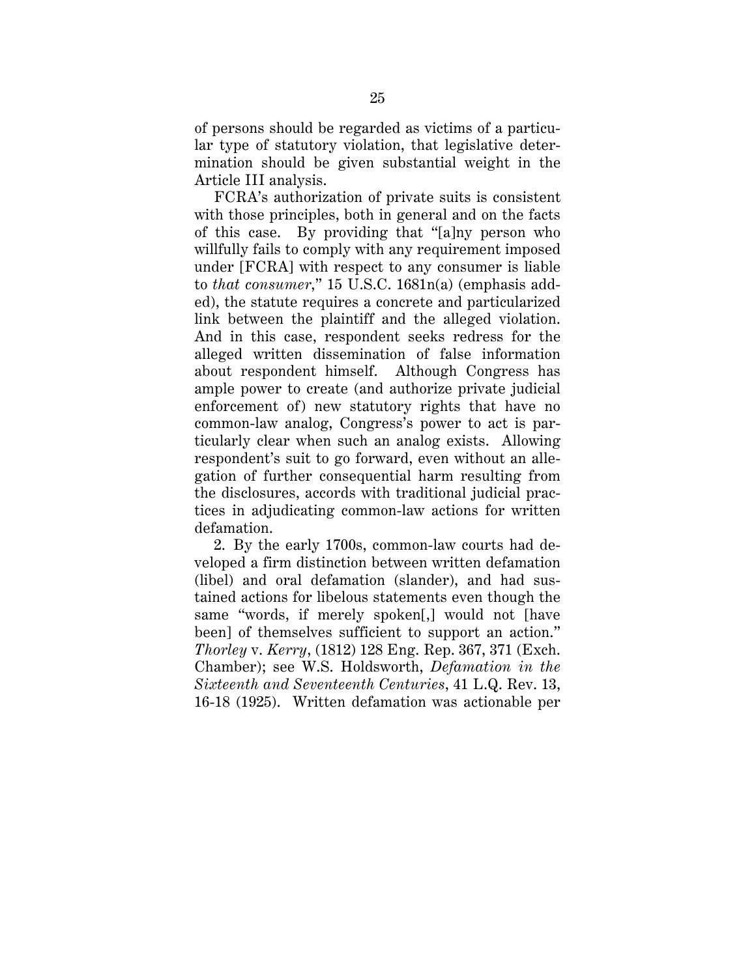of persons should be regarded as victims of a particular type of statutory violation, that legislative determination should be given substantial weight in the Article III analysis.

FCRA's authorization of private suits is consistent with those principles, both in general and on the facts of this case. By providing that "[a]ny person who willfully fails to comply with any requirement imposed under [FCRA] with respect to any consumer is liable to *that consumer*," 15 U.S.C. 1681n(a) (emphasis added), the statute requires a concrete and particularized link between the plaintiff and the alleged violation. And in this case, respondent seeks redress for the alleged written dissemination of false information about respondent himself. Although Congress has ample power to create (and authorize private judicial enforcement of) new statutory rights that have no common-law analog, Congress's power to act is particularly clear when such an analog exists. Allowing respondent's suit to go forward, even without an allegation of further consequential harm resulting from the disclosures, accords with traditional judicial practices in adjudicating common-law actions for written defamation.

2. By the early 1700s, common-law courts had developed a firm distinction between written defamation (libel) and oral defamation (slander), and had sustained actions for libelous statements even though the same "words, if merely spoken[,] would not [have been] of themselves sufficient to support an action." *Thorley* v. *Kerry*, (1812) 128 Eng. Rep. 367, 371 (Exch. Chamber); see W.S. Holdsworth, *Defamation in the Sixteenth and Seventeenth Centuries*, 41 L.Q. Rev. 13, 16-18 (1925). Written defamation was actionable per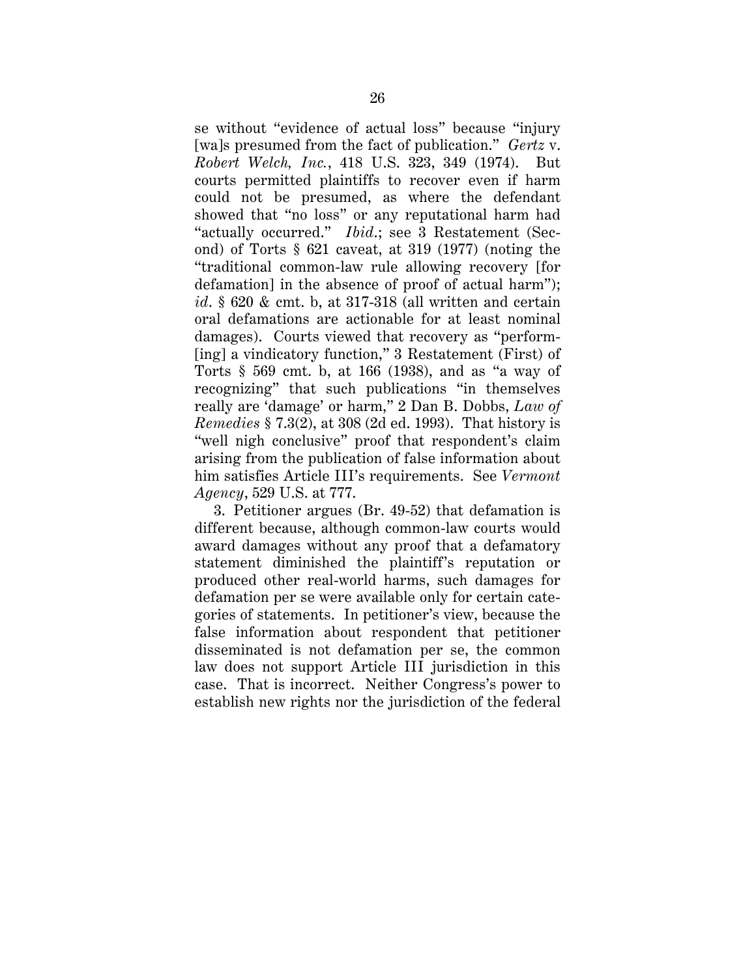se without "evidence of actual loss" because "injury [wa]s presumed from the fact of publication." *Gertz* v. *Robert Welch, Inc.*, 418 U.S. 323, 349 (1974). But courts permitted plaintiffs to recover even if harm could not be presumed, as where the defendant showed that "no loss" or any reputational harm had "actually occurred." *Ibid*.; see 3 Restatement (Second) of Torts § 621 caveat, at 319 (1977) (noting the "traditional common-law rule allowing recovery [for defamation] in the absence of proof of actual harm"); *id*. § 620 & cmt. b, at 317-318 (all written and certain oral defamations are actionable for at least nominal damages). Courts viewed that recovery as "perform- [ing] a vindicatory function," 3 Restatement (First) of Torts § 569 cmt. b, at 166 (1938), and as "a way of recognizing" that such publications "in themselves really are 'damage' or harm," 2 Dan B. Dobbs, *Law of Remedies* § 7.3(2), at 308 (2d ed. 1993). That history is "well nigh conclusive" proof that respondent's claim arising from the publication of false information about him satisfies Article III's requirements. See *Vermont Agency*, 529 U.S. at 777.

3. Petitioner argues (Br. 49-52) that defamation is different because, although common-law courts would award damages without any proof that a defamatory statement diminished the plaintiff's reputation or produced other real-world harms, such damages for defamation per se were available only for certain categories of statements. In petitioner's view, because the false information about respondent that petitioner disseminated is not defamation per se, the common law does not support Article III jurisdiction in this case. That is incorrect. Neither Congress's power to establish new rights nor the jurisdiction of the federal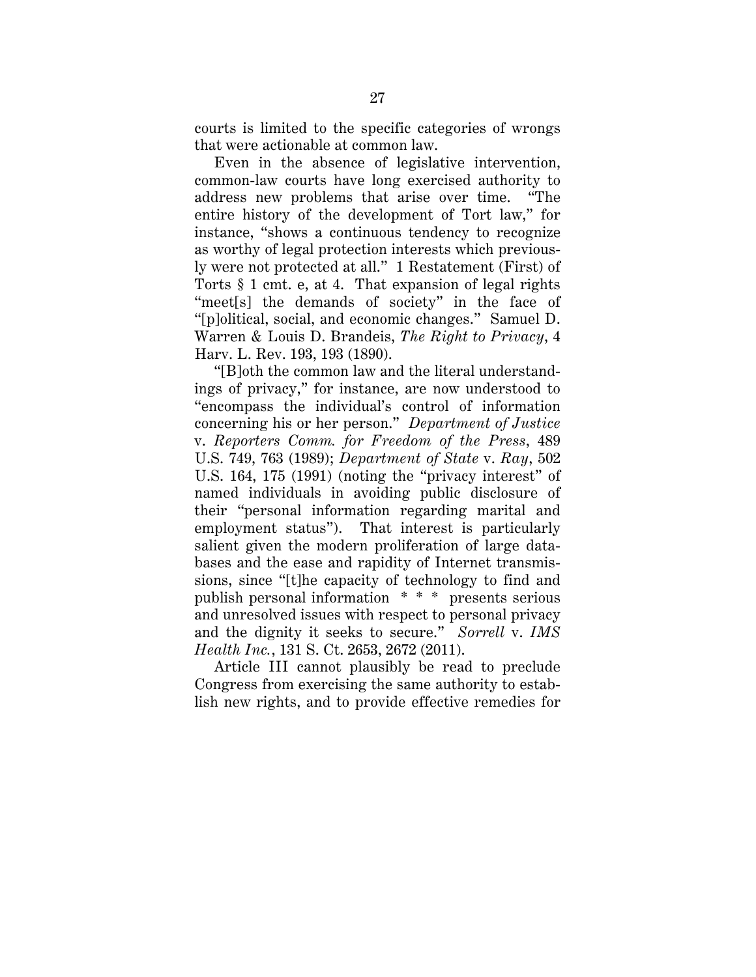courts is limited to the specific categories of wrongs that were actionable at common law.

Even in the absence of legislative intervention, common-law courts have long exercised authority to address new problems that arise over time. "The entire history of the development of Tort law," for instance, "shows a continuous tendency to recognize as worthy of legal protection interests which previously were not protected at all." 1 Restatement (First) of Torts § 1 cmt. e, at 4. That expansion of legal rights "meet<sup>[s]</sup> the demands of society" in the face of "[p]olitical, social, and economic changes." Samuel D. Warren & Louis D. Brandeis, *The Right to Privacy*, 4 Harv. L. Rev. 193, 193 (1890).

"[B]oth the common law and the literal understandings of privacy," for instance, are now understood to "encompass the individual's control of information concerning his or her person." *Department of Justice* v. *Reporters Comm. for Freedom of the Press*, 489 U.S. 749, 763 (1989); *Department of State* v. *Ray*, 502 U.S. 164, 175 (1991) (noting the "privacy interest" of named individuals in avoiding public disclosure of their "personal information regarding marital and employment status"). That interest is particularly salient given the modern proliferation of large databases and the ease and rapidity of Internet transmissions, since "[t]he capacity of technology to find and publish personal information \* \* \* presents serious and unresolved issues with respect to personal privacy and the dignity it seeks to secure." *Sorrell* v. *IMS Health Inc.*, 131 S. Ct. 2653, 2672 (2011).

Article III cannot plausibly be read to preclude Congress from exercising the same authority to establish new rights, and to provide effective remedies for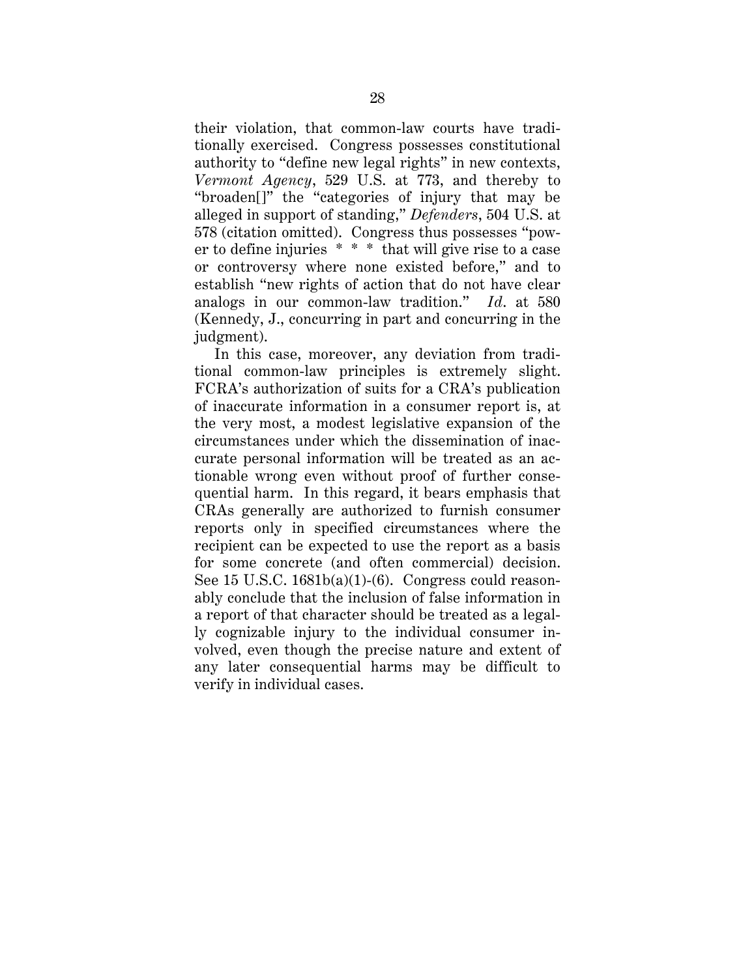their violation, that common-law courts have traditionally exercised. Congress possesses constitutional authority to "define new legal rights" in new contexts, *Vermont Agency*, 529 U.S. at 773, and thereby to "broaden[]" the "categories of injury that may be alleged in support of standing," *Defenders*, 504 U.S. at 578 (citation omitted). Congress thus possesses "power to define injuries \* \* \* that will give rise to a case or controversy where none existed before," and to establish "new rights of action that do not have clear analogs in our common-law tradition." *Id*. at 580 (Kennedy, J., concurring in part and concurring in the judgment).

In this case, moreover, any deviation from traditional common-law principles is extremely slight. FCRA's authorization of suits for a CRA's publication of inaccurate information in a consumer report is, at the very most, a modest legislative expansion of the circumstances under which the dissemination of inaccurate personal information will be treated as an actionable wrong even without proof of further consequential harm. In this regard, it bears emphasis that CRAs generally are authorized to furnish consumer reports only in specified circumstances where the recipient can be expected to use the report as a basis for some concrete (and often commercial) decision. See 15 U.S.C. 1681b(a)(1)-(6). Congress could reasonably conclude that the inclusion of false information in a report of that character should be treated as a legally cognizable injury to the individual consumer involved, even though the precise nature and extent of any later consequential harms may be difficult to verify in individual cases.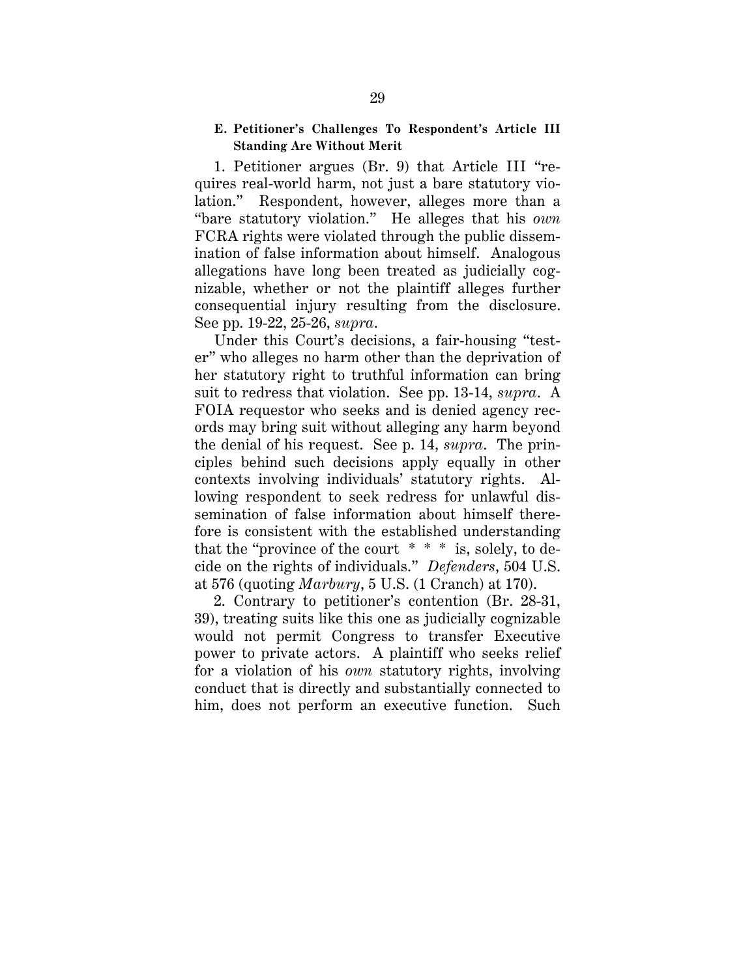#### **E. Petitioner's Challenges To Respondent's Article III Standing Are Without Merit**

1. Petitioner argues (Br. 9) that Article III "requires real-world harm, not just a bare statutory violation." Respondent, however, alleges more than a "bare statutory violation." He alleges that his *own* FCRA rights were violated through the public dissemination of false information about himself. Analogous allegations have long been treated as judicially cognizable, whether or not the plaintiff alleges further consequential injury resulting from the disclosure. See pp. 19-22, 25-26, *supra*.

Under this Court's decisions, a fair-housing "tester" who alleges no harm other than the deprivation of her statutory right to truthful information can bring suit to redress that violation. See pp. 13-14, *supra*. A FOIA requestor who seeks and is denied agency records may bring suit without alleging any harm beyond the denial of his request. See p. 14, *supra*. The principles behind such decisions apply equally in other contexts involving individuals' statutory rights. Allowing respondent to seek redress for unlawful dissemination of false information about himself therefore is consistent with the established understanding that the "province of the court  $* * *$  is, solely, to decide on the rights of individuals." *Defenders*, 504 U.S. at 576 (quoting *Marbury*, 5 U.S. (1 Cranch) at 170).

2. Contrary to petitioner's contention (Br. 28-31, 39), treating suits like this one as judicially cognizable would not permit Congress to transfer Executive power to private actors. A plaintiff who seeks relief for a violation of his *own* statutory rights, involving conduct that is directly and substantially connected to him, does not perform an executive function. Such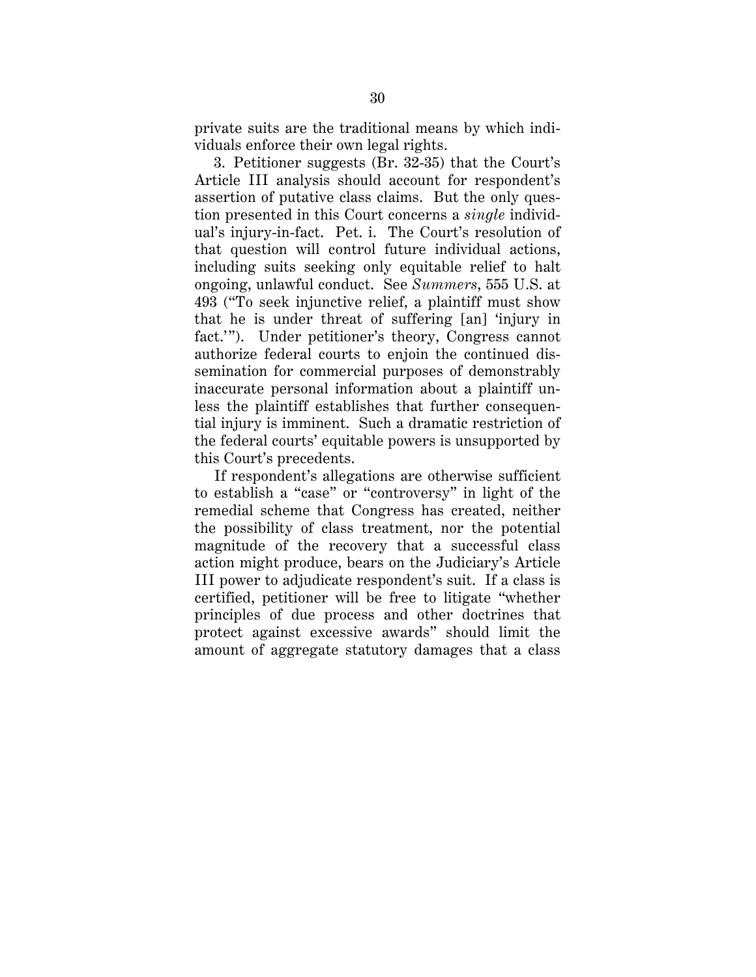private suits are the traditional means by which individuals enforce their own legal rights.

3. Petitioner suggests (Br. 32-35) that the Court's Article III analysis should account for respondent's assertion of putative class claims. But the only question presented in this Court concerns a *single* individual's injury-in-fact. Pet. i. The Court's resolution of that question will control future individual actions, including suits seeking only equitable relief to halt ongoing, unlawful conduct. See *Summers*, 555 U.S. at 493 ("To seek injunctive relief, a plaintiff must show that he is under threat of suffering [an] 'injury in fact.'"). Under petitioner's theory, Congress cannot authorize federal courts to enjoin the continued dissemination for commercial purposes of demonstrably inaccurate personal information about a plaintiff unless the plaintiff establishes that further consequential injury is imminent. Such a dramatic restriction of the federal courts' equitable powers is unsupported by this Court's precedents.

If respondent's allegations are otherwise sufficient to establish a "case" or "controversy" in light of the remedial scheme that Congress has created, neither the possibility of class treatment, nor the potential magnitude of the recovery that a successful class action might produce, bears on the Judiciary's Article III power to adjudicate respondent's suit. If a class is certified, petitioner will be free to litigate "whether principles of due process and other doctrines that protect against excessive awards" should limit the amount of aggregate statutory damages that a class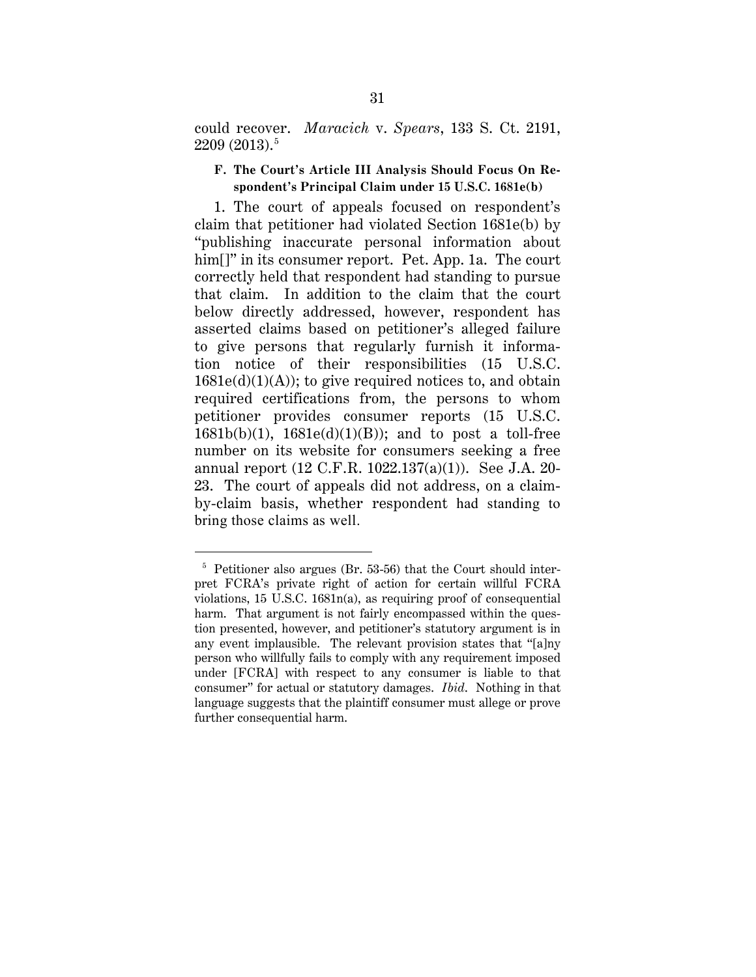could recover. *Maracich* v. *Spears*, 133 S. Ct. 2191, 2209 (2013). 5

## **F. The Court's Article III Analysis Should Focus On Respondent's Principal Claim under 15 U.S.C. 1681e(b)**

1. The court of appeals focused on respondent's claim that petitioner had violated Section 1681e(b) by "publishing inaccurate personal information about him<sup>[]"</sup> in its consumer report. Pet. App. 1a. The court correctly held that respondent had standing to pursue that claim. In addition to the claim that the court below directly addressed, however, respondent has asserted claims based on petitioner's alleged failure to give persons that regularly furnish it information notice of their responsibilities (15 U.S.C.  $1681e(d)(1)(A)$ ; to give required notices to, and obtain required certifications from, the persons to whom petitioner provides consumer reports (15 U.S.C.  $1681b(b)(1)$ ,  $1681e(d)(1)(B)$ ; and to post a toll-free number on its website for consumers seeking a free annual report (12 C.F.R. 1022.137(a)(1)). See J.A. 20- 23. The court of appeals did not address, on a claimby-claim basis, whether respondent had standing to bring those claims as well.

 <sup>5</sup> Petitioner also argues (Br. 53-56) that the Court should interpret FCRA's private right of action for certain willful FCRA violations, 15 U.S.C. 1681n(a), as requiring proof of consequential harm. That argument is not fairly encompassed within the question presented, however, and petitioner's statutory argument is in any event implausible. The relevant provision states that "[a]ny person who willfully fails to comply with any requirement imposed under [FCRA] with respect to any consumer is liable to that consumer" for actual or statutory damages. *Ibid*. Nothing in that language suggests that the plaintiff consumer must allege or prove further consequential harm.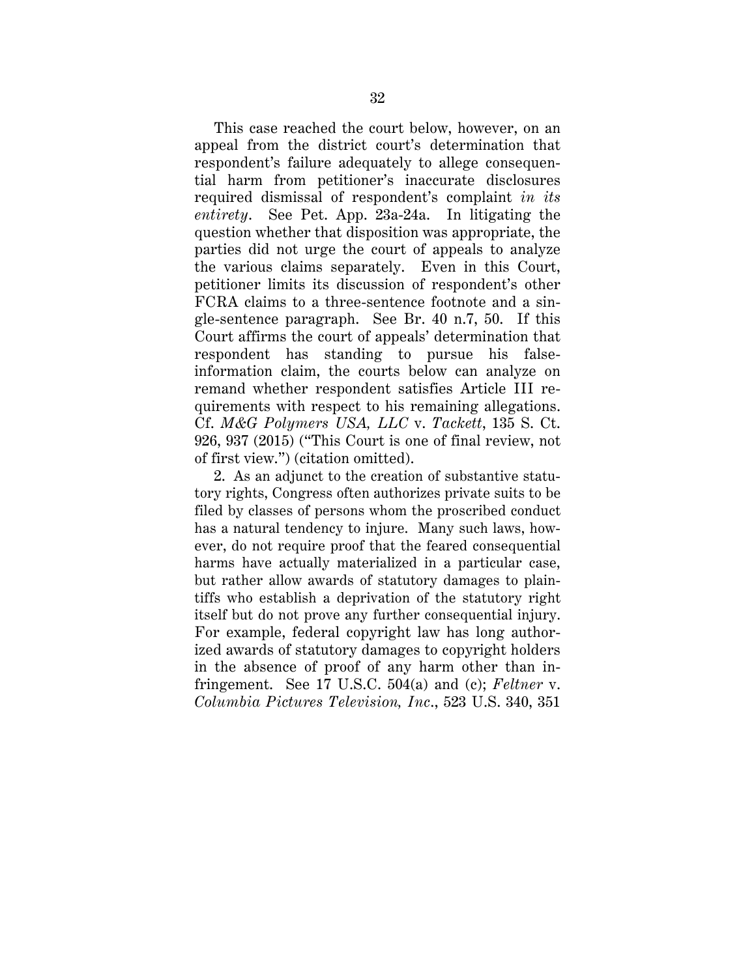This case reached the court below, however, on an appeal from the district court's determination that respondent's failure adequately to allege consequential harm from petitioner's inaccurate disclosures required dismissal of respondent's complaint *in its entirety*. See Pet. App. 23a-24a. In litigating the question whether that disposition was appropriate, the parties did not urge the court of appeals to analyze the various claims separately. Even in this Court, petitioner limits its discussion of respondent's other FCRA claims to a three-sentence footnote and a single-sentence paragraph. See Br. 40 n.7, 50. If this Court affirms the court of appeals' determination that respondent has standing to pursue his falseinformation claim, the courts below can analyze on remand whether respondent satisfies Article III requirements with respect to his remaining allegations. Cf. *M&G Polymers USA, LLC* v. *Tackett*, 135 S. Ct. 926, 937 (2015) ("This Court is one of final review, not of first view.") (citation omitted).

2. As an adjunct to the creation of substantive statutory rights, Congress often authorizes private suits to be filed by classes of persons whom the proscribed conduct has a natural tendency to injure. Many such laws, however, do not require proof that the feared consequential harms have actually materialized in a particular case, but rather allow awards of statutory damages to plaintiffs who establish a deprivation of the statutory right itself but do not prove any further consequential injury. For example, federal copyright law has long authorized awards of statutory damages to copyright holders in the absence of proof of any harm other than infringement. See 17 U.S.C. 504(a) and (c); *Feltner* v. *Columbia Pictures Television, Inc*., 523 U.S. 340, 351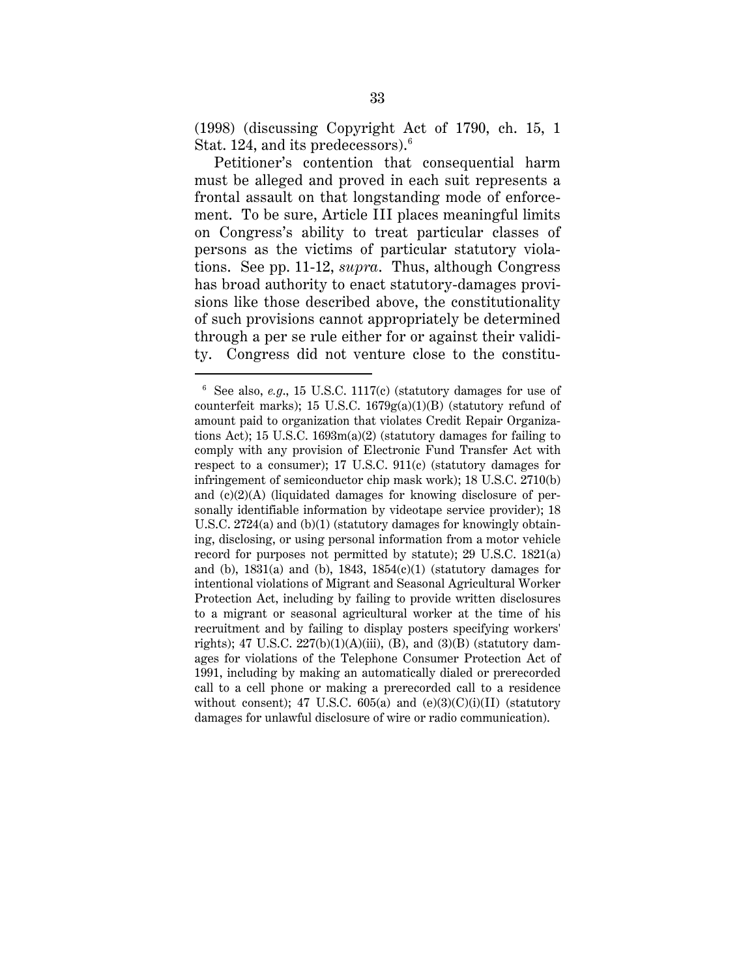(1998) (discussing Copyright Act of 1790, ch. 15, 1 Stat. 124, and its predecessors). $^6$ 

Petitioner's contention that consequential harm must be alleged and proved in each suit represents a frontal assault on that longstanding mode of enforcement. To be sure, Article III places meaningful limits on Congress's ability to treat particular classes of persons as the victims of particular statutory violations. See pp. 11-12, *supra*. Thus, although Congress has broad authority to enact statutory-damages provisions like those described above, the constitutionality of such provisions cannot appropriately be determined through a per se rule either for or against their validity. Congress did not venture close to the constitu-

 <sup>6</sup> See also, *e.g*., 15 U.S.C. 1117(c) (statutory damages for use of counterfeit marks); 15 U.S.C. 1679g(a)(1)(B) (statutory refund of amount paid to organization that violates Credit Repair Organizations Act); 15 U.S.C. 1693m(a)(2) (statutory damages for failing to comply with any provision of Electronic Fund Transfer Act with respect to a consumer); 17 U.S.C. 911(c) (statutory damages for infringement of semiconductor chip mask work); 18 U.S.C. 2710(b) and (c)(2)(A) (liquidated damages for knowing disclosure of personally identifiable information by videotape service provider); 18 U.S.C. 2724(a) and (b)(1) (statutory damages for knowingly obtaining, disclosing, or using personal information from a motor vehicle record for purposes not permitted by statute); 29 U.S.C. 1821(a) and (b),  $1831(a)$  and (b),  $1843$ ,  $1854(c)(1)$  (statutory damages for intentional violations of Migrant and Seasonal Agricultural Worker Protection Act, including by failing to provide written disclosures to a migrant or seasonal agricultural worker at the time of his recruitment and by failing to display posters specifying workers' rights); 47 U.S.C.  $227(b)(1)(A)(iii)$ , (B), and (3)(B) (statutory damages for violations of the Telephone Consumer Protection Act of 1991, including by making an automatically dialed or prerecorded call to a cell phone or making a prerecorded call to a residence without consent); 47 U.S.C.  $605(a)$  and  $(e)(3)(C)(i)(II)$  (statutory damages for unlawful disclosure of wire or radio communication).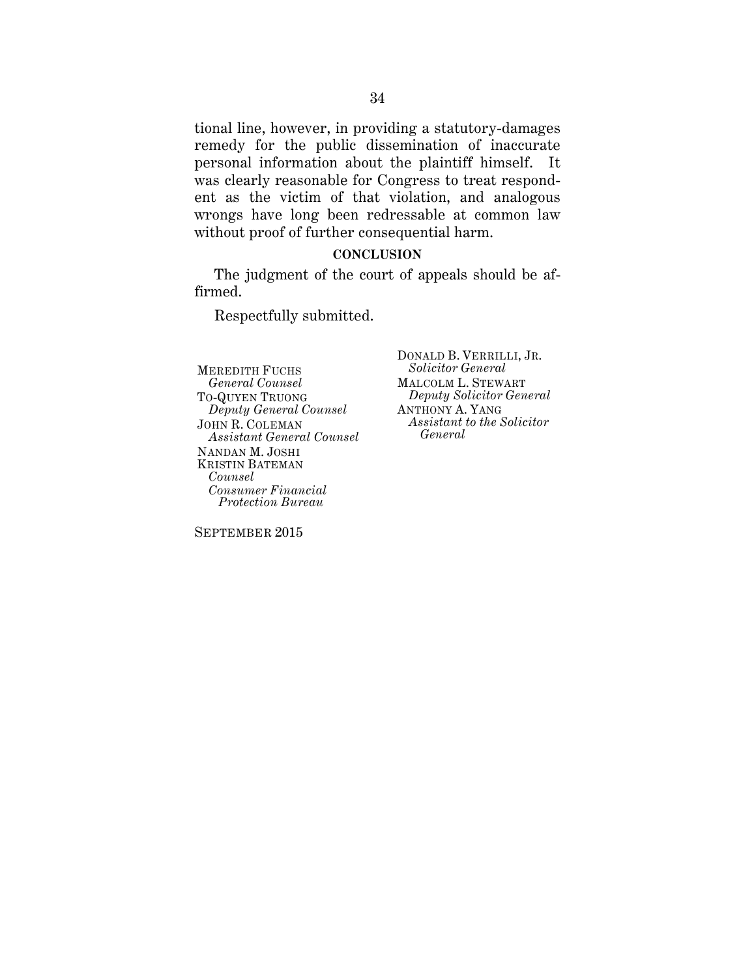tional line, however, in providing a statutory-damages remedy for the public dissemination of inaccurate personal information about the plaintiff himself. It was clearly reasonable for Congress to treat respondent as the victim of that violation, and analogous wrongs have long been redressable at common law without proof of further consequential harm.

#### **CONCLUSION**

The judgment of the court of appeals should be affirmed.

Respectfully submitted.

MEREDITH FUCHS *General Counsel* TO-QUYEN TRUONG *Deputy General Counsel* JOHN R. COLEMAN *Assistant General Counsel* NANDAN M. JOSHI KRISTIN BATEMAN *Counsel Consumer Financial Protection Bureau*

DONALD B. VERRILLI, JR. *Solicitor General* MALCOLM L. STEWART *Deputy Solicitor General* ANTHONY A. YANG *Assistant to the Solicitor General*

SEPTEMBER 2015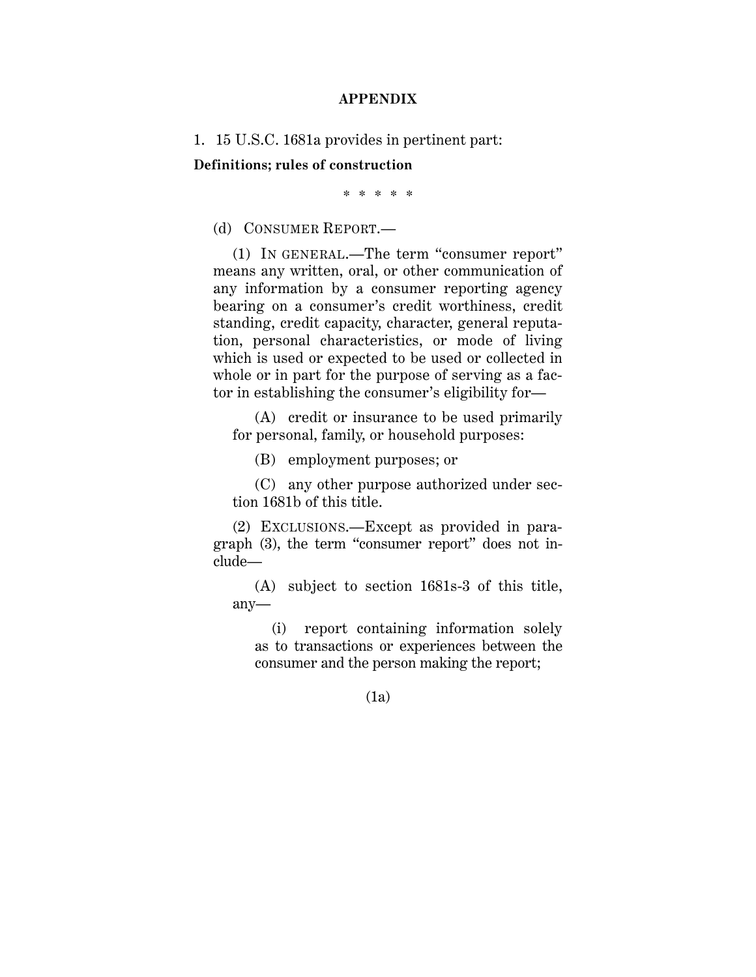#### **APPENDIX**

1. 15 U.S.C. 1681a provides in pertinent part:

**Definitions; rules of construction**

\* \* \* \* \*

(d) CONSUMER REPORT.—

(1) IN GENERAL.—The term "consumer report" means any written, oral, or other communication of any information by a consumer reporting agency bearing on a consumer's credit worthiness, credit standing, credit capacity, character, general reputation, personal characteristics, or mode of living which is used or expected to be used or collected in whole or in part for the purpose of serving as a factor in establishing the consumer's eligibility for—

(A) credit or insurance to be used primarily for personal, family, or household purposes:

(B) employment purposes; or

(C) any other purpose authorized under section 1681b of this title.

(2) EXCLUSIONS.—Except as provided in paragraph (3), the term "consumer report" does not include—

(A) subject to section 1681s-3 of this title, any—

(i) report containing information solely as to transactions or experiences between the consumer and the person making the report;

(1a)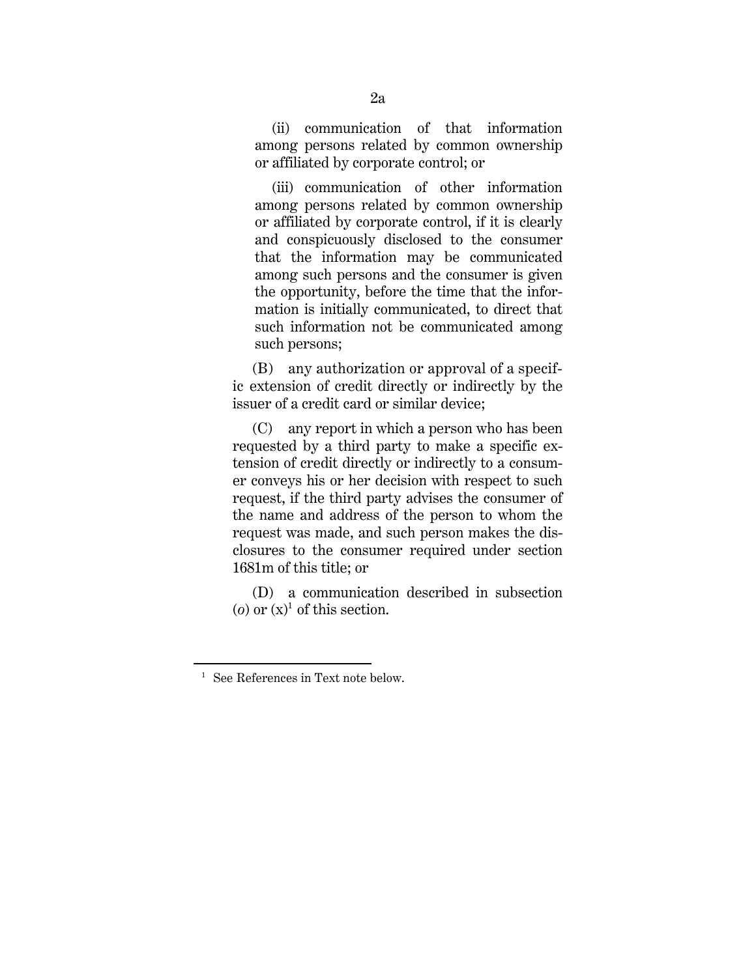(ii) communication of that information among persons related by common ownership or affiliated by corporate control; or

(iii) communication of other information among persons related by common ownership or affiliated by corporate control, if it is clearly and conspicuously disclosed to the consumer that the information may be communicated among such persons and the consumer is given the opportunity, before the time that the information is initially communicated, to direct that such information not be communicated among such persons;

 (B) any authorization or approval of a specific extension of credit directly or indirectly by the issuer of a credit card or similar device;

 (C) any report in which a person who has been requested by a third party to make a specific extension of credit directly or indirectly to a consumer conveys his or her decision with respect to such request, if the third party advises the consumer of the name and address of the person to whom the request was made, and such person makes the disclosures to the consumer required under section 1681m of this title; or

 (D) a communication described in subsection  $(o)$  or  $(x)^1$  of this section.

**.** 

See References in Text note below.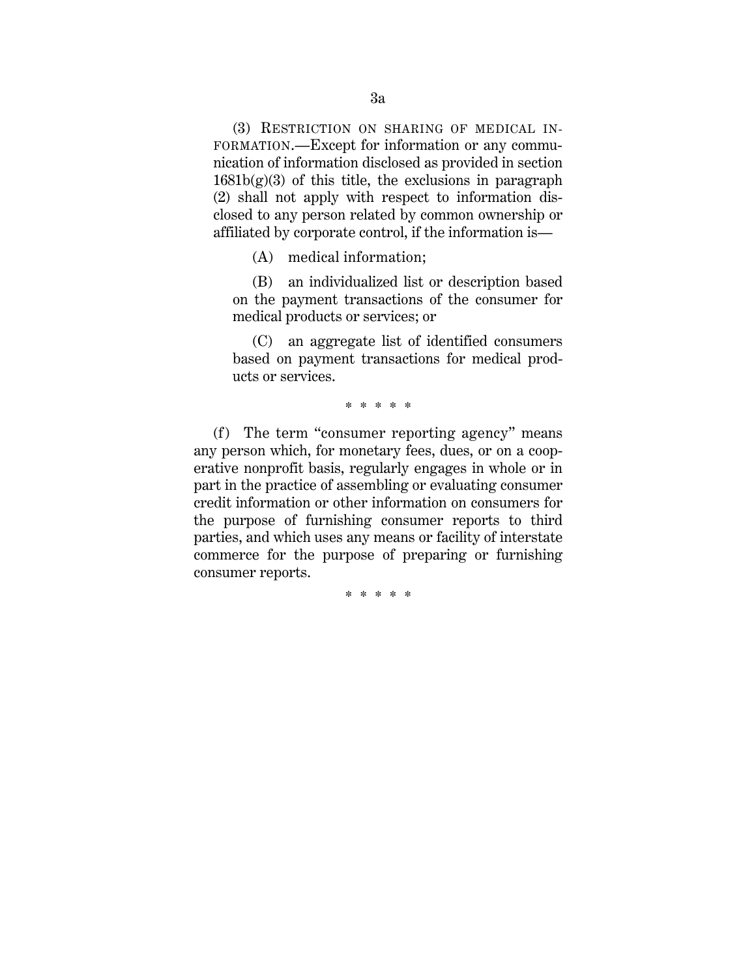(3) RESTRICTION ON SHARING OF MEDICAL IN-FORMATION.—Except for information or any communication of information disclosed as provided in section  $1681b(g)(3)$  of this title, the exclusions in paragraph (2) shall not apply with respect to information disclosed to any person related by common ownership or affiliated by corporate control, if the information is—

(A) medical information;

(B) an individualized list or description based on the payment transactions of the consumer for medical products or services; or

(C) an aggregate list of identified consumers based on payment transactions for medical products or services.

\* \* \* \* \*

(f) The term "consumer reporting agency" means any person which, for monetary fees, dues, or on a cooperative nonprofit basis, regularly engages in whole or in part in the practice of assembling or evaluating consumer credit information or other information on consumers for the purpose of furnishing consumer reports to third parties, and which uses any means or facility of interstate commerce for the purpose of preparing or furnishing consumer reports.

\* \* \* \* \*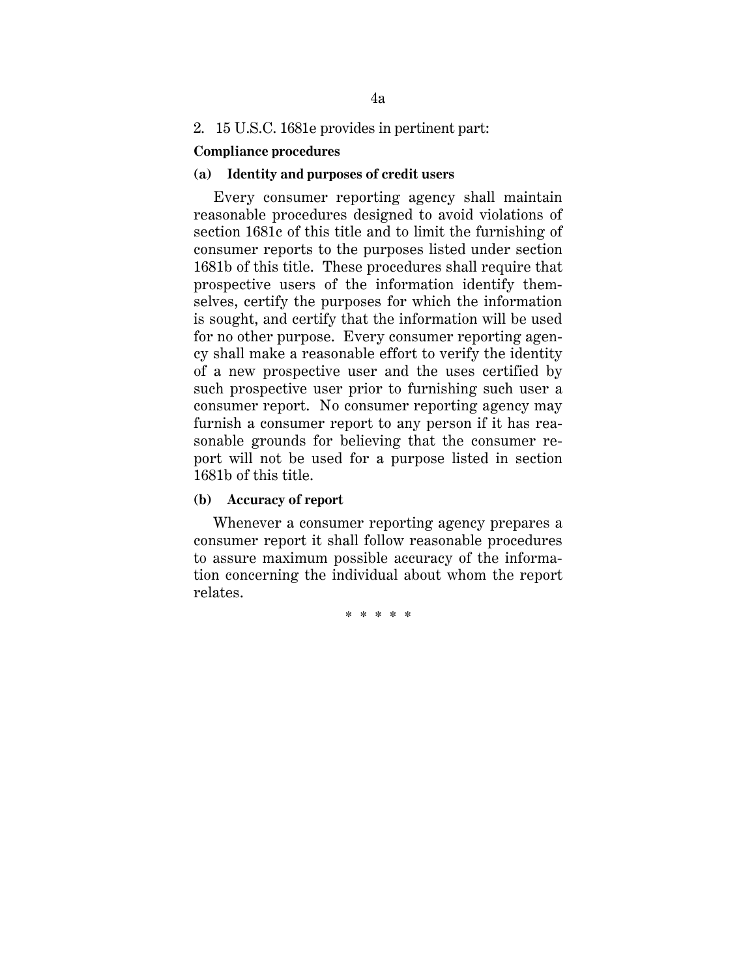### 2. 15 U.S.C. 1681e provides in pertinent part:

### **Compliance procedures**

#### **(a) Identity and purposes of credit users**

Every consumer reporting agency shall maintain reasonable procedures designed to avoid violations of section 1681c of this title and to limit the furnishing of consumer reports to the purposes listed under section 1681b of this title. These procedures shall require that prospective users of the information identify themselves, certify the purposes for which the information is sought, and certify that the information will be used for no other purpose. Every consumer reporting agency shall make a reasonable effort to verify the identity of a new prospective user and the uses certified by such prospective user prior to furnishing such user a consumer report. No consumer reporting agency may furnish a consumer report to any person if it has reasonable grounds for believing that the consumer report will not be used for a purpose listed in section 1681b of this title.

#### **(b) Accuracy of report**

Whenever a consumer reporting agency prepares a consumer report it shall follow reasonable procedures to assure maximum possible accuracy of the information concerning the individual about whom the report relates.

\* \* \* \* \*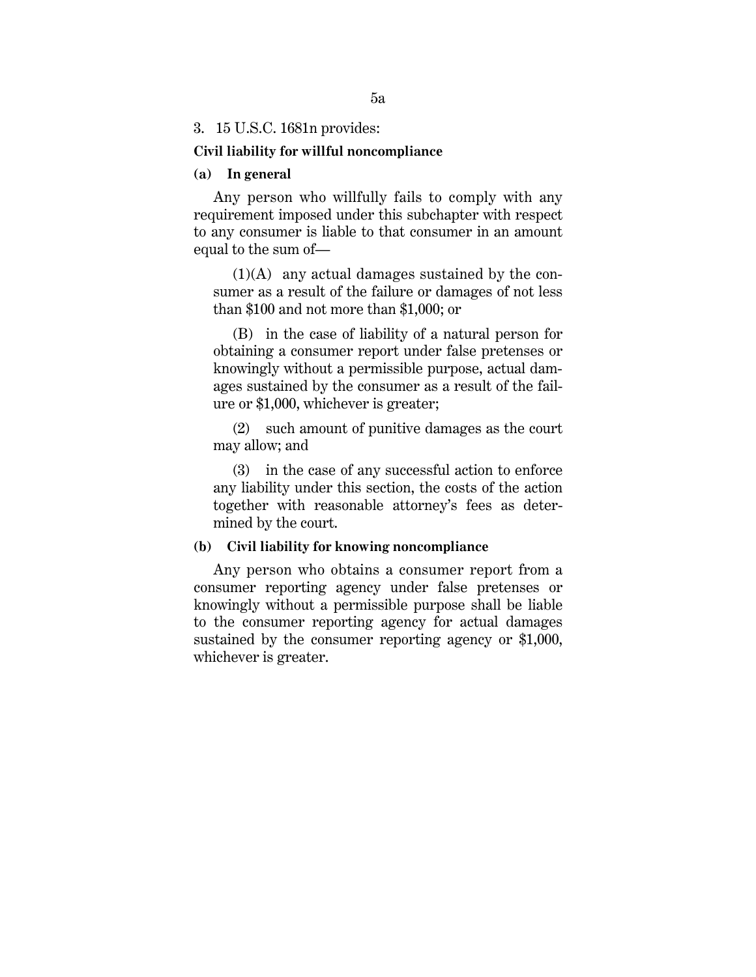#### 3. 15 U.S.C. 1681n provides:

#### **Civil liability for willful noncompliance**

#### **(a) In general**

Any person who willfully fails to comply with any requirement imposed under this subchapter with respect to any consumer is liable to that consumer in an amount equal to the sum of—

(1)(A) any actual damages sustained by the consumer as a result of the failure or damages of not less than \$100 and not more than \$1,000; or

(B) in the case of liability of a natural person for obtaining a consumer report under false pretenses or knowingly without a permissible purpose, actual damages sustained by the consumer as a result of the failure or \$1,000, whichever is greater;

(2) such amount of punitive damages as the court may allow; and

(3) in the case of any successful action to enforce any liability under this section, the costs of the action together with reasonable attorney's fees as determined by the court.

#### **(b) Civil liability for knowing noncompliance**

Any person who obtains a consumer report from a consumer reporting agency under false pretenses or knowingly without a permissible purpose shall be liable to the consumer reporting agency for actual damages sustained by the consumer reporting agency or \$1,000, whichever is greater.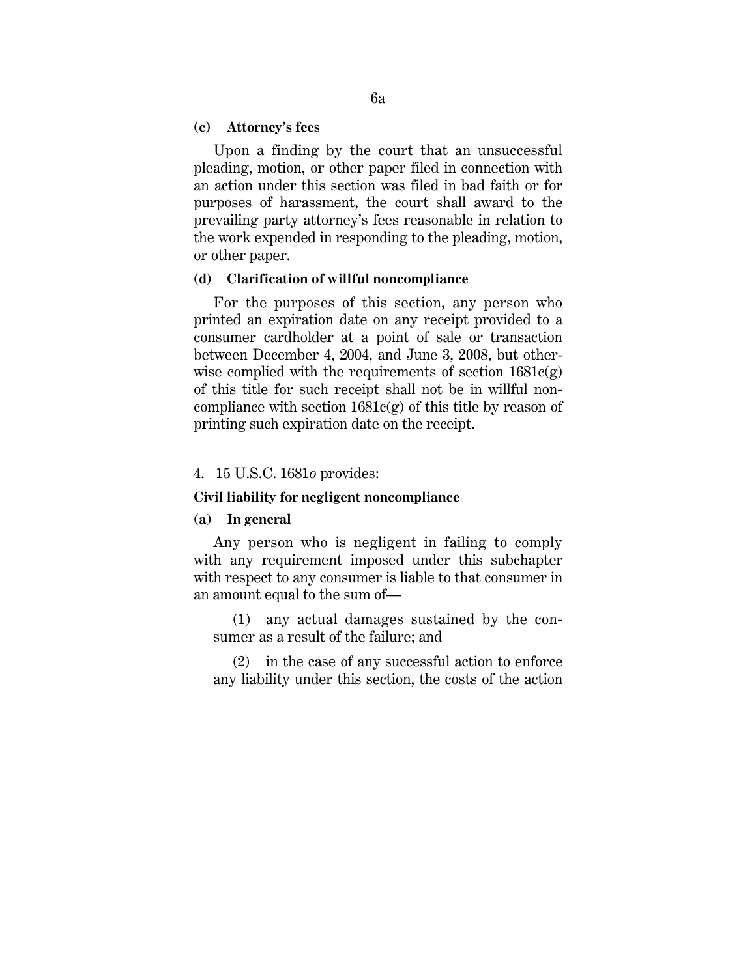#### **(c) Attorney's fees**

Upon a finding by the court that an unsuccessful pleading, motion, or other paper filed in connection with an action under this section was filed in bad faith or for purposes of harassment, the court shall award to the prevailing party attorney's fees reasonable in relation to the work expended in responding to the pleading, motion, or other paper.

#### **(d) Clarification of willful noncompliance**

For the purposes of this section, any person who printed an expiration date on any receipt provided to a consumer cardholder at a point of sale or transaction between December 4, 2004, and June 3, 2008, but otherwise complied with the requirements of section  $1681c(g)$ of this title for such receipt shall not be in willful noncompliance with section  $1681c(g)$  of this title by reason of printing such expiration date on the receipt.

#### 4. 15 U.S.C. 1681*o* provides:

#### **Civil liability for negligent noncompliance**

#### **(a) In general**

Any person who is negligent in failing to comply with any requirement imposed under this subchapter with respect to any consumer is liable to that consumer in an amount equal to the sum of—

(1) any actual damages sustained by the consumer as a result of the failure; and

(2) in the case of any successful action to enforce any liability under this section, the costs of the action